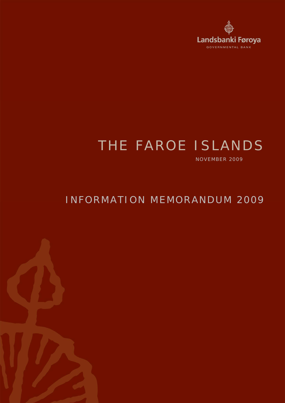

# THE FAROE ISLANDS

NOVEMBER 2009

## INFORMATION MEMORANDUM 2009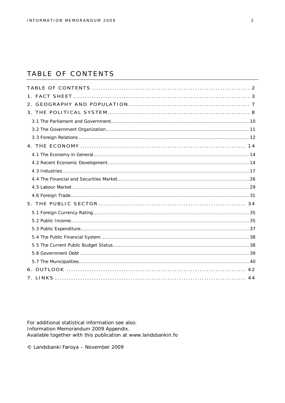## TABLE OF CONTENTS

For additional statistical information see also: Information Memorandum 2009 Appendix. Available together with this publication at www.landsbankin.fo

© Landsbanki Føroya - November 2009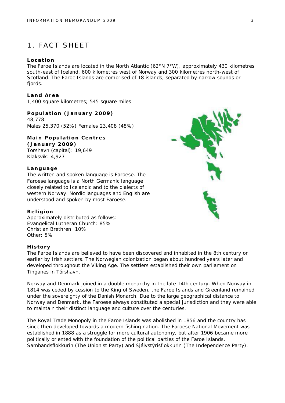## 1. FACT SHEET

#### **Location**

The Faroe Islands are located in the North Atlantic (62°N 7°W), approximately 430 kilometres south-east of Iceland, 600 kilometres west of Norway and 300 kilometres north-west of Scotland. The Faroe Islands are comprised of 18 islands, separated by narrow sounds or fjords.

**Land Area** 1,400 square kilometres; 545 square miles

**Population (January 2009)** 48,778. Males 25,370 (52%) Females 23,408 (48%)

**Main Population Centres (January 2009)** Torshavn (capital): 19,649 Klaksvík: 4,927

#### **Language**

The written and spoken language is Faroese. The Faroese language is a North Germanic language closely related to Icelandic and to the dialects of western Norway. Nordic languages and English are understood and spoken by most Faroese.

#### **Religion**

Approximately distributed as follows: Evangelical Lutheran Church: 85% Christian Brethren: 10% Other: 5%

#### **History**

The Faroe Islands are believed to have been discovered and inhabited in the 8th century or earlier by Irish settlers. The Norwegian colonization began about hundred years later and developed throughout the Viking Age. The settlers established their own parliament on Tinganes in Tórshavn.

Norway and Denmark joined in a double monarchy in the late 14th century. When Norway in 1814 was ceded by cession to the King of Sweden, the Faroe Islands and Greenland remained under the sovereignty of the Danish Monarch. Due to the large geographical distance to Norway and Denmark, the Faroese always constituted a special jurisdiction and they were able to maintain their distinct language and culture over the centuries.

The Royal Trade Monopoly in the Faroe Islands was abolished in 1856 and the country has since then developed towards a modern fishing nation. The Faroese National Movement was established in 1888 as a struggle for more cultural autonomy, but after 1906 became more politically oriented with the foundation of the political parties of the Faroe Islands, Sambandsflokkurin (The Unionist Party) and Sjálvstýrisflokkurin (The Independence Party).

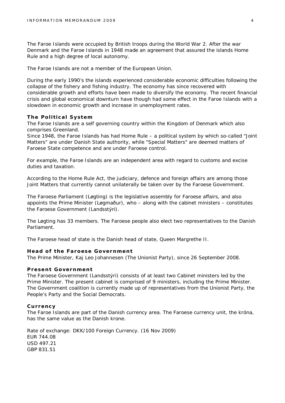The Faroe Islands were occupied by British troops during the World War 2. After the war Denmark and the Faroe Islands in 1948 made an agreement that assured the islands Home Rule and a high degree of local autonomy.

The Faroe Islands are not a member of the European Union.

During the early 1990's the islands experienced considerable economic difficulties following the collapse of the fishery and fishing industry. The economy has since recovered with considerable growth and efforts have been made to diversify the economy. The recent financial crisis and global economical downturn have though had some effect in the Faroe Islands with a slowdown in economic growth and increase in unemployment rates.

#### **The Political System**

The Faroe Islands are a self governing country within the Kingdom of Denmark which also comprises Greenland.

Since 1948, the Faroe Islands has had Home Rule – a political system by which so-called "Joint Matters" are under Danish State authority, while "Special Matters" are deemed matters of Faroese State competence and are under Faroese control.

For example, the Faroe Islands are an independent area with regard to customs and excise duties and taxation.

According to the Home Rule Act, the judiciary, defence and foreign affairs are among those Joint Matters that currently cannot unilaterally be taken over by the Faroese Government.

The Faroese Parliament (Løgting) is the legislative assembly for Faroese affairs, and also appoints the Prime Minister (Løgmaður), who – along with the cabinet ministers – constitutes the Faroese Government (Landsstýri).

The Løgting has 33 members. The Faroese people also elect two representatives to the Danish Parliament.

The Faroese head of state is the Danish head of state, Queen Margrethe II.

#### **Head of the Faroese Government**

The Prime Minister, Kaj Leo Johannesen (The Unionist Party), since 26 September 2008.

#### **Present Government**

The Faroese Government (Landsstýri) consists of at least two Cabinet ministers led by the Prime Minister. The present cabinet is comprised of 9 ministers, including the Prime Minister. The Government coalition is currently made up of representatives from the Unionist Party, the People's Party and the Social Democrats.

#### **Currency**

The Faroe Islands are part of the Danish currency area. The Faroese currency unit, the króna, has the same value as the Danish krone.

Rate of exchange: DKK/100 Foreign Currency. (16 Nov 2009) EUR 744.08 USD 497.21 GBP 831.51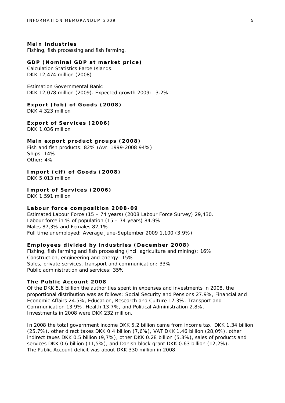**Main industries** Fishing, fish processing and fish farming.

**GDP (Nominal GDP at market price)** Calculation Statistics Faroe Islands: DKK 12,474 million (2008)

Estimation Governmental Bank: DKK 12,078 million (2009). Expected growth 2009: -3.2%

**Export (fob) of Goods (2008)** DKK 4,323 million

**Export of Services (2006)** DKK 1,036 million

**Main export product groups (2008)** Fish and fish products: 82% (Avr. 1999-2008 94%) Ships: 14% Other: 4%

**Import (cif) of Goods (2008)** DKK 5,013 million

**Import of Services (2006)** DKK 1,591 million

**Labour force composition 2008-09** Estimated Labour Force (15 – 74 years) (2008 Labour Force Survey) 29,430. Labour force in % of population (15 – 74 years) 84.9% Males 87,3% and Females 82,1% Full time unemployed: Average June-September 2009 1,100 (3,9%)

**Employees divided by industries (December 2008)** Fishing, fish farming and fish processing (incl. agriculture and mining): 16% Construction, engineering and energy: 15% Sales, private services, transport and communication: 33% Public administration and services: 35%

**The Public Account 2008**

Of the DKK 5,6 billion the authorities spent in expenses and investments in 2008, the proportional distribution was as follows: Social Security and Pensions 27.9%, Financial and Economic Affairs 24.5%, Education, Research and Culture 17.3%, Transport and Communication 13.9%, Health 13.7%, and Political Administration 2.8%. Investments in 2008 were DKK 232 million.

In 2008 the total government income DKK 5.2 billion came from income tax DKK 1.34 billion (25,7%), other direct taxes DKK 0.4 billion (7,6%), VAT DKK 1.46 billion (28,0%), other indirect taxes DKK 0.5 billion (9,7%), other DKK 0.28 billion (5.3%), sales of products and services DKK 0.6 billion (11,5%), and Danish block grant DKK 0.63 billion (12,2%). The Public Account deficit was about DKK 330 million in 2008.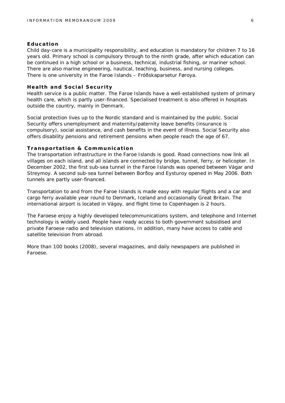#### **Education**

Child day-care is a municipality responsibility, and education is mandatory for children 7 to 16 years old. Primary school is compulsory through to the ninth grade, after which education can be continued in a high school or a business, technical, industrial fishing, or mariner school. There are also marine engineering, nautical, teaching, business, and nursing colleges. There is one university in the Faroe Islands – Fróðskaparsetur Føroya.

#### **Health and Social Security**

Health service is a public matter. The Faroe Islands have a well-established system of primary health care, which is partly user-financed. Specialised treatment is also offered in hospitals outside the country, mainly in Denmark.

Social protection lives up to the Nordic standard and is maintained by the public. Social Security offers unemployment and maternity/paternity leave benefits (insurance is compulsory), social assistance, and cash benefits in the event of illness. Social Security also offers disability pensions and retirement pensions when people reach the age of 67.

#### **Transportation & Communication**

The transportation infrastructure in the Faroe Islands is good. Road connections now link all villages on each island, and all islands are connected by bridge, tunnel, ferry, or helicopter. In December 2002, the first sub-sea tunnel in the Faroe Islands was opened between Vágar and Streymoy. A second sub-sea tunnel between Borðoy and Eysturoy opened in May 2006. Both tunnels are partly user-financed.

Transportation to and from the Faroe Islands is made easy with regular flights and a car and cargo ferry available year round to Denmark, Iceland and occasionally Great Britain. The international airport is located in Vágoy, and flight time to Copenhagen is 2 hours.

The Faroese enjoy a highly developed telecommunications system, and telephone and Internet technology is widely used. People have ready access to both government subsidised and private Faroese radio and television stations. In addition, many have access to cable and satellite television from abroad.

More than 100 books (2008), several magazines, and daily newspapers are published in Faroese.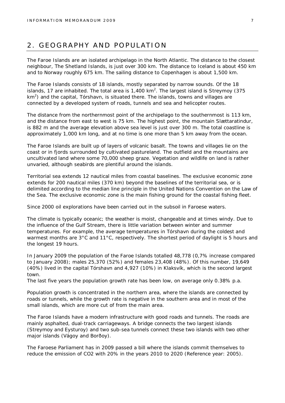## 2. GEOGRAPHY AND POPULATION

The Faroe Islands are an isolated archipelago in the North Atlantic. The distance to the closest neighbour, The Shetland Islands, is just over 300 km. The distance to Iceland is about 450 km and to Norway roughly 675 km. The sailing distance to Copenhagen is about 1,500 km.

The Faroe Islands consists of 18 islands, mostly separated by narrow sounds. Of the 18 islands, 17 are inhabited. The total area is 1,400 km<sup>2</sup>. The largest island is Streymoy (375  $km<sup>2</sup>$ ) and the capital, Tórshavn, is situated there. The islands, towns and villages are connected by a developed system of roads, tunnels and sea and helicopter routes.

The distance from the northernmost point of the archipelago to the southernmost is 113 km, and the distance from east to west is 75 km. The highest point, the mountain Slættaratindur, is 882 m and the average elevation above sea level is just over 300 m. The total coastline is approximately 1,000 km long, and at no time is one more than 5 km away from the ocean.

The Faroe Islands are built up of layers of volcanic basalt. The towns and villages lie on the coast or in fjords surrounded by cultivated pastureland. The outfield and the mountains are uncultivated land where some 70,000 sheep graze. Vegetation and wildlife on land is rather unvaried, although seabirds are plentiful around the islands.

Territorial sea extends 12 nautical miles from coastal baselines. The exclusive economic zone extends for 200 nautical miles (370 km) beyond the baselines of the territorial sea, or is delimited according to the median line principle in the United Nations Convention on the Law of the Sea. The exclusive economic zone is the main fishing ground for the coastal fishing fleet.

Since 2000 oil explorations have been carried out in the subsoil in Faroese waters.

The climate is typically oceanic; the weather is moist, changeable and at times windy. Due to the influence of the Gulf Stream, there is little variation between winter and summer temperatures. For example, the average temperatures in Tórshavn during the coldest and warmest months are 3°C and 11°C, respectively. The shortest period of daylight is 5 hours and the longest 19 hours.

In January 2009 the population of the Faroe Islands totalled 48,778 (0,7% increase compared to January 2008); males 25,370 (52%) and females 23,408 (48%). Of this number, 19,649 (40%) lived in the capital Tórshavn and 4,927 (10%) in Klaksvík, which is the second largest town.

The last five years the population growth rate has been low, on average only 0.38% p.a.

Population growth is concentrated in the northern area, where the islands are connected by roads or tunnels, while the growth rate is negative in the southern area and in most of the small islands, which are more cut of from the main area.

The Faroe Islands have a modern infrastructure with good roads and tunnels. The roads are mainly asphalted, dual-track carriageways. A bridge connects the two largest islands (Streymoy and Eysturoy) and two sub-sea tunnels connect these two islands with two other major islands (Vágoy and Borðoy).

The Faroese Parliament has in 2009 passed a bill where the islands commit themselves to reduce the emission of CO2 with 20% in the years 2010 to 2020 (Reference year: 2005).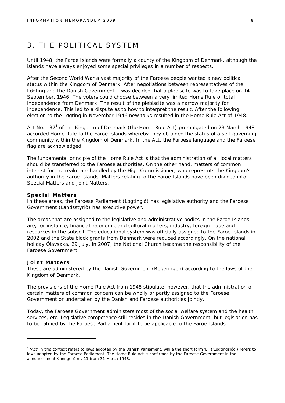## 3. THE POLITICAL SYSTEM

Until 1948, the Faroe Islands were formally a county of the Kingdom of Denmark, although the islands have always enjoyed some special privileges in a number of respects.

After the Second World War a vast majority of the Faroese people wanted a new political status within the Kingdom of Denmark. After negotiations between representatives of the Løgting and the Danish Government it was decided that a plebiscite was to take place on 14 September, 1946. The voters could choose between a very limited Home Rule or total independence from Denmark. The result of the plebiscite was a narrow majority for independence. This led to a dispute as to how to interpret the result. After the following election to the Løgting in November 1946 new talks resulted in the Home Rule Act of 1948.

Act No. 137<sup>1</sup> of the Kingdom of Denmark (the Home Rule Act) promulgated on 23 March 1948 accorded Home Rule to the Faroe Islands whereby they obtained the status of a self-governing community within the Kingdom of Denmark. In the Act, the Faroese language and the Faroese flag are acknowledged.

The fundamental principle of the Home Rule Act is that the administration of all local matters should be transferred to the Faroese authorities. On the other hand, matters of common interest for the realm are handled by the High Commissioner, who represents the Kingdom's authority in the Faroe Islands. Matters relating to the Faroe Islands have been divided into Special Matters and Joint Matters.

#### **Special Matters**

In these areas, the Faroese Parliament (Løgtingið) has legislative authority and the Faroese Government (Landsstýrið) has executive power.

The areas that are assigned to the legislative and administrative bodies in the Faroe Islands are, for instance, financial, economic and cultural matters, industry, foreign trade and resources in the subsoil. The educational system was officially assigned to the Faroe Islands in 2002 and the State block grants from Denmark were reduced accordingly. On the national holiday Ólavsøka, 29 July, in 2007, the National Church became the responsibility of the Faroese Government.

#### **Joint Matters**

These are administered by the Danish Government (Regeringen) according to the laws of the Kingdom of Denmark.

The provisions of the Home Rule Act from 1948 stipulate, however, that the administration of certain matters of common concern can be wholly or partly assigned to the Faroese Government or undertaken by the Danish and Faroese authorities jointly.

Today, the Faroese Government administers most of the social welfare system and the health services, etc. Legislative competence still resides in the Danish Government, but legislation has to be ratified by the Faroese Parliament for it to be applicable to the Faroe Islands.

<sup>&</sup>lt;sup>1</sup> 'Act' in this context refers to laws adopted by the Danish Parliament, while the short form 'Ll' ('Løgtingslóg') refers to laws adopted by the Faroese Parliament. The Home Rule Act is confirmed by the Faroese Government in the announcement Kunngerð nr. 11 from 31 March 1948.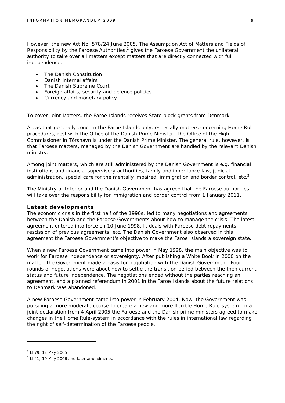However, the new Act No. 578/24 June 2005, The Assumption Act of Matters and Fields of Responsibility by the Faroese Authorities, $2$  gives the Faroese Government the unilateral authority to take over all matters except matters that are directly connected with full independence:

- The Danish Constitution
- Danish internal affairs
- The Danish Supreme Court
- Foreign affairs, security and defence policies
- Currency and monetary policy

To cover Joint Matters, the Faroe Islands receives State block grants from Denmark.

Areas that generally concern the Faroe Islands only, especially matters concerning Home Rule procedures, rest with the Office of the Danish Prime Minister. The Office of the High Commissioner in Tórshavn is under the Danish Prime Minister. The general rule, however, is that Faroese matters, managed by the Danish Government are handled by the relevant Danish ministry.

Among joint matters, which are still administered by the Danish Government is e.g. financial institutions and financial supervisory authorities, family and inheritance law, judicial administration, special care for the mentally impaired, immigration and border control, etc.<sup>3</sup>

The Ministry of Interior and the Danish Government has agreed that the Faroese authorities will take over the responsibility for immigration and border control from 1 January 2011.

#### **Latest developments**

The economic crisis in the first half of the 1990s, led to many negotiations and agreements between the Danish and the Faroese Governments about how to manage the crisis. The latest agreement entered into force on 10 June 1998. It deals with Faroese debt repayments, rescission of previous agreements, etc. The Danish Government also observed in this agreement the Faroese Government's objective to make the Faroe Islands a sovereign state.

When a new Faroese Government came into power in May 1998, the main objective was to work for Faroese independence or sovereignty. After publishing a White Book in 2000 on the matter, the Government made a basis for negotiation with the Danish Government. Four rounds of negotiations were about how to settle the transition period between the then current status and future independence. The negotiations ended without the parties reaching an agreement, and a planned referendum in 2001 in the Faroe Islands about the future relations to Denmark was abandoned.

A new Faroese Government came into power in February 2004. Now, the Government was pursuing a more moderate course to create a new and more flexible Home Rule-system. In a joint declaration from 4 April 2005 the Faroese and the Danish prime ministers agreed to make changes in the Home Rule-system in accordance with the rules in international law regarding the right of self-determination of the Faroese people.

<sup>&</sup>lt;sup>2</sup> Ll 79, 12 May 2005

 $3$  LI 41, 10 May 2006 and later amendments.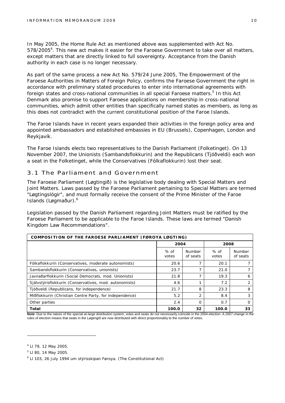In May 2005, the Home Rule Act as mentioned above was supplemented with Act No. 578/2005<sup>4</sup>. This new act makes it easier for the Faroese Government to take over all matters, except matters that are directly linked to full sovereignty. Acceptance from the Danish authority in each case is no longer necessary.

As part of the same process a new Act No. 579/24 June 2005, The Empowerment of the Faroese Authorities in Matters of Foreign Policy, confirms the Faroese Government the right in accordance with preliminary stated procedures to enter into international agreements with foreign states and cross-national communities in all special Faroese matters.<sup>5</sup> In this Act Denmark also promise to support Faroese applications on membership in cross-national communities, which admit other entities than specifically named states as members, as long as this does not contradict with the current constitutional position of the Faroe Islands.

The Faroe Islands have in recent years expanded their activities in the foreign policy area and appointed ambassadors and established embassies in EU (Brussels), Copenhagen, London and Reykjavík.

The Faroe Islands elects two representatives to the Danish Parliament (Folketinget). On 13 November 2007, the Unionists (Sambandsflokkurin) and the Republicans (Tjóðveldi) each won a seat in the Folketinget, while the Conservatives (Fólkaflokkurin) lost their seat.

#### 3.1 The Parliament and Government

The Faroese Parliament (Løgtingið) is the legislative body dealing with Special Matters and Joint Matters. Laws passed by the Faroese Parliament pertaining to Special Matters are termed "Løgtingslógir", and must formally receive the consent of the Prime Minister of the Faroe Islands (Løgmaður).<sup>6</sup>

Legislation passed by the Danish Parliament regarding Joint Matters must be ratified by the Faroese Parliament to be applicable to the Faroe Islands. These laws are termed "Danish Kingdom Law Recommendations".

| COMPOSITION OF THE FAROESE PARLIAMENT (FØROYA LØGTING)  |                 |                           |                 |                           |  |
|---------------------------------------------------------|-----------------|---------------------------|-----------------|---------------------------|--|
|                                                         | 2004            |                           | 2008            |                           |  |
|                                                         | $%$ of<br>votes | <b>Number</b><br>of seats | $%$ of<br>votes | <b>Number</b><br>of seats |  |
| Fólkaflokkurin (Conservatives, moderate autonomists)    | 20.6            |                           | 20.1            |                           |  |
| Sambandsflokkurin (Conservatives, unionists)            | 23.7            |                           | 21.0            |                           |  |
| Javnaðarflokkurin (Social Democrats, mod. Unionists)    | 21.8            |                           | 19.3            | 6                         |  |
| Sjálvstýrisflokkurin (Conservatives, mod. autonomists)  | 4.6             |                           | 7.2             | 2                         |  |
| Tjóðveldi (Republicans, for independence)               | 21.7            | 8                         | 23.3            | 8                         |  |
| Miðflokkurin (Christian Centre Party, for independence) | 5.2             | $\overline{2}$            | 8.4             | 3                         |  |
| Other parties                                           | 2.4             | $\Omega$                  | 0.7             | O                         |  |
| Total                                                   | 100.0           | 32                        | 100.0           | 33                        |  |

Note: Due to the nature of the special at-large distribution system, votes and seats do not necessarily coincide in the 2004-election. A 2007 change in the rules of election means that seats in the Løgtingið are now distributed with direct proportionality to the number of votes.

<sup>4</sup> Ll 79, 12 May 2005.

<sup>5</sup> Ll 80, 14 May 2005.

<sup>&</sup>lt;sup>6</sup> Ll 103, 26 July 1994 um stýrisskipan Føroya. (The Constitutional Act)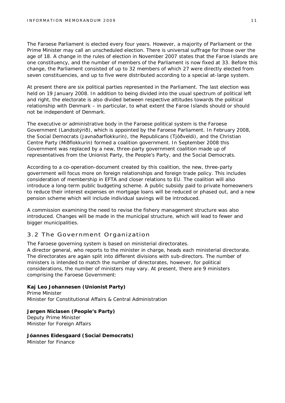The Faroese Parliament is elected every four years. However, a majority of Parliament or the Prime Minister may call an unscheduled election. There is universal suffrage for those over the age of 18. A change in the rules of election in November 2007 states that the Faroe Islands are one constituency, and the number of members of the Parliament is now fixed at 33. Before this change, the Parliament consisted of up to 32 members of which 27 were directly elected from seven constituencies, and up to five were distributed according to a special at-large system.

At present there are six political parties represented in the Parliament. The last election was held on 19 January 2008. In addition to being divided into the usual spectrum of political left and right, the electorate is also divided between respective attitudes towards the political relationship with Denmark – in particular, to what extent the Faroe Islands should or should not be independent of Denmark.

The executive or administrative body in the Faroese political system is the Faroese Government (Landsstýrið), which is appointed by the Faroese Parliament. In February 2008, the Social Democrats (Javnaðarflokkurin), the Republicans (Tjóðveldi), and the Christian Centre Party (Miðflokkurin) formed a coalition government. In September 2008 this Government was replaced by a new, three-party government coalition made up of representatives from the Unionist Party, the People's Party, and the Social Democrats.

According to a co-operation-document created by this coalition, the new, three-party government will focus more on foreign relationships and foreign trade policy. This includes consideration of membership in EFTA and closer relations to EU. The coalition will also introduce a long-term public budgeting scheme. A public subsidy paid to private homeowners to reduce their interest expenses on mortgage loans will be reduced or phased out, and a new pension scheme which will include individual savings will be introduced.

A commission examining the need to revise the fishery management structure was also introduced. Changes will be made in the municipal structure, which will lead to fewer and bigger municipalities.

#### 3.2 The Government Organization

The Faroese governing system is based on ministerial directorates. A director general, who reports to the minister in charge, heads each ministerial directorate. The directorates are again split into different divisions with sub-directors. The number of ministers is intended to match the number of directorates, however, for political considerations, the number of ministers may vary. At present, there are 9 ministers comprising the Faroese Government:

**Kaj Leo Johannesen (Unionist Party)** Prime Minister Minister for Constitutional Affairs & Central Administration

**Jørgen Niclasen (People's Party)** Deputy Prime Minister Minister for Foreign Affairs

**Jóannes Eidesgaard (Social Democrats)** Minister for Finance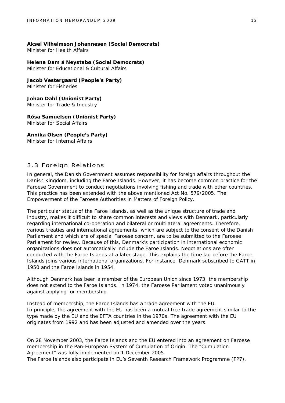**Aksel Vilhelmson Johannesen (Social Democrats)** Minister for Health Affairs

**Helena Dam á Neystabø (Social Democrats)** Minister for Educational & Cultural Affairs

**Jacob Vestergaard (People's Party)** Minister for Fisheries

**Johan Dahl (Unionist Party)** Minister for Trade & Industry

**Rósa Samuelsen (Unionist Party)** Minister for Social Affairs

**Annika Olsen (People's Party)** Minister for Internal Affairs

#### 3.3 Foreign Relations

In general, the Danish Government assumes responsibility for foreign affairs throughout the Danish Kingdom, including the Faroe Islands. However, it has become common practice for the Faroese Government to conduct negotiations involving fishing and trade with other countries. This practice has been extended with the above mentioned Act No. 579/2005, The Empowerment of the Faroese Authorities in Matters of Foreign Policy.

The particular status of the Faroe Islands, as well as the unique structure of trade and industry, makes it difficult to share common interests and views with Denmark, particularly regarding international co-operation and bilateral or multilateral agreements. Therefore, various treaties and international agreements, which are subject to the consent of the Danish Parliament and which are of special Faroese concern, are to be submitted to the Faroese Parliament for review. Because of this, Denmark's participation in international economic organizations does not automatically include the Faroe Islands. Negotiations are often conducted with the Faroe Islands at a later stage. This explains the time lag before the Faroe Islands joins various international organizations. For instance, Denmark subscribed to GATT in 1950 and the Faroe Islands in 1954.

Although Denmark has been a member of the European Union since 1973, the membership does not extend to the Faroe Islands. In 1974, the Faroese Parliament voted unanimously against applying for membership.

Instead of membership, the Faroe Islands has a trade agreement with the EU. In principle, the agreement with the EU has been a mutual free trade agreement similar to the type made by the EU and the EFTA countries in the 1970s. The agreement with the EU originates from 1992 and has been adjusted and amended over the years.

On 28 November 2003, the Faroe Islands and the EU entered into an agreement on Faroese membership in the Pan-European System of Cumulation of Origin. The "Cumulation Agreement" was fully implemented on 1 December 2005.

The Faroe Islands also participate in EU's Seventh Research Framework Programme (FP7).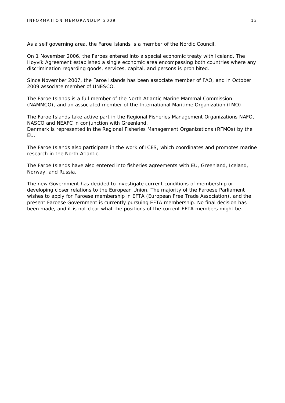As a self governing area, the Faroe Islands is a member of the Nordic Council.

On 1 November 2006, the Faroes entered into a special economic treaty with Iceland. The Hoyvík Agreement established a single economic area encompassing both countries where any discrimination regarding goods, services, capital, and persons is prohibited.

Since November 2007, the Faroe Islands has been associate member of FAO, and in October 2009 associate member of UNESCO.

The Faroe Islands is a full member of the North Atlantic Marine Mammal Commission (NAMMCO), and an associated member of the International Maritime Organization (IMO).

The Faroe Islands take active part in the Regional Fisheries Management Organizations NAFO, NASCO and NEAFC in conjunction with Greenland.

Denmark is represented in the Regional Fisheries Management Organizations (RFMOs) by the EU.

The Faroe Islands also participate in the work of ICES, which coordinates and promotes marine research in the North Atlantic.

The Faroe Islands have also entered into fisheries agreements with EU, Greenland, Iceland, Norway, and Russia.

The new Government has decided to investigate current conditions of membership or developing closer relations to the European Union. The majority of the Faroese Parliament wishes to apply for Faroese membership in EFTA (European Free Trade Association), and the present Faroese Government is currently pursuing EFTA membership. No final decision has been made, and it is not clear what the positions of the current EFTA members might be.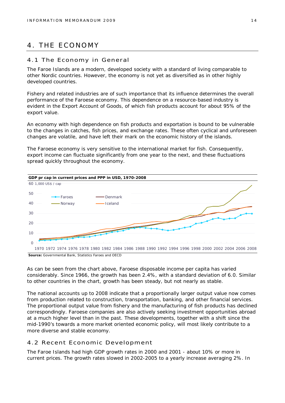## 4. THE ECONOMY

#### 4.1 The Economy in General

The Faroe Islands are a modern, developed society with a standard of living comparable to other Nordic countries. However, the economy is not yet as diversified as in other highly developed countries.

Fishery and related industries are of such importance that its influence determines the overall performance of the Faroese economy. This dependence on a resource-based industry is evident in the Export Account of Goods, of which fish products account for about 95% of the export value.

An economy with high dependence on fish products and exportation is bound to be vulnerable to the changes in catches, fish prices, and exchange rates. These often cyclical and unforeseen changes are volatile, and have left their mark on the economic history of the islands.

The Faroese economy is very sensitive to the international market for fish. Consequently, export income can fluctuate significantly from one year to the next, and these fluctuations spread quickly throughout the economy.



As can be seen from the chart above, Faroese disposable income per capita has varied considerably. Since 1966, the growth has been 2.4%, with a standard deviation of 6.0. Similar to other countries in the chart, growth has been steady, but not nearly as stable.

The national accounts up to 2008 indicate that a proportionally larger output value now comes from production related to construction, transportation, banking, and other financial services. The proportional output value from fishery and the manufacturing of fish products has declined correspondingly. Faroese companies are also actively seeking investment opportunities abroad at a much higher level than in the past. These developments, together with a shift since the mid-1990's towards a more market oriented economic policy, will most likely contribute to a more diverse and stable economy.

#### 4.2 Recent Economic Development

The Faroe Islands had high GDP growth rates in 2000 and 2001 - about 10% or more in current prices. The growth rates slowed in 2002-2005 to a yearly increase averaging 2%. In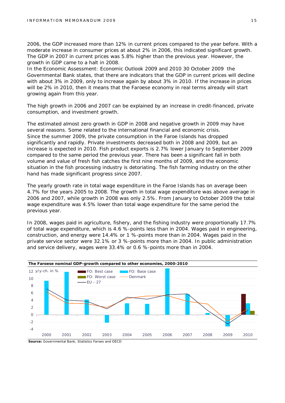2006, the GDP increased more than 12% in current prices compared to the year before. With a moderate increase in consumer prices at about 2% in 2006, this indicated significant growth. The GDP in 2007 in current prices was 5.8% higher than the previous year. However, the growth in GDP came to a halt in 2008.

In the *Economic Assessment: Economic Outlook 2009 and 2010* 30 October 2009 the Governmental Bank states, that there are indicators that the GDP in current prices will decline with about 3% in 2009, only to increase again by about 3% in 2010. If the increase in prices will be 2% in 2010, then it means that the Faroese economy in real terms already will start growing again from this year.

The high growth in 2006 and 2007 can be explained by an increase in credit-financed, private consumption, and investment growth.

The estimated almost zero growth in GDP in 2008 and negative growth in 2009 may have several reasons. Some related to the international financial and economic crisis. Since the summer 2009, the private consumption in the Faroe Islands has dropped significantly and rapidly. Private investments decreased both in 2008 and 2009, but an increase is expected in 2010. Fish product exports is 2.7% lower January to September 2009 compared to the same period the previous year. There has been a significant fall in both volume and value of fresh fish catches the first nine months of 2009, and the economic situation in the fish processing industry is detoriating. The fish farming industry on the other hand has made significant progress since 2007.

The yearly growth rate in total wage expenditure in the Faroe Islands has on average been 4.7% for the years 2005 to 2008. The growth in total wage expenditure was above average in 2006 and 2007, while growth in 2008 was only 2.5%. From January to October 2009 the total wage expenditure was 4.5% lower than total wage expenditure for the same period the previous year.

In 2008, wages paid in agriculture, fishery, and the fishing industry were proportionally 17.7% of total wage expenditure, which is 4.6 %-points less than in 2004. Wages paid in engineering, construction, and energy were 14.4% or 1 %-points more than in 2004. Wages paid in the private service sector were 32.1% or 3 %-points more than in 2004. In public administration and service delivery, wages were 33.4% or 0.6 %-points more than in 2004.

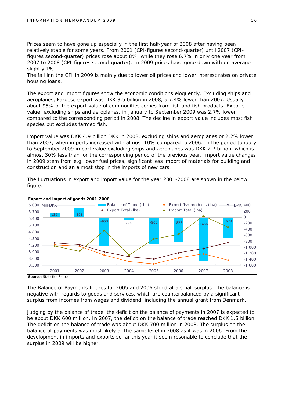Prices seem to have gone up especially in the first half-year of 2008 after having been relatively stable for some years. From 2001 (CPI-figures second-quarter) until 2007 (CPIfigures second-quarter) prices rose about 8%, while they rose 6.7% in only one year from 2007 to 2008 (CPI-figures second-quarter). In 2009 prices have gone down with on average slightly 1%.

The fall inn the CPI in 2009 is mainly due to lower oil prices and lower interest rates on private housing loans.

The export and import figures show the economic conditions eloquently. Excluding ships and aeroplanes, Faroese export was DKK 3.5 billion in 2008, a 7.4% lower than 2007. Usually about 95% of the export value of commodities comes from fish and fish products. Exports value, excluding ships and aeroplanes, in January to September 2009 was 2.7% lower compared to the corresponding period in 2008. The decline in export value includes most fish species but excludes farmed fish.

Import value was DKK 4.9 billion DKK in 2008, excluding ships and aeroplanes or 2.2% lower than 2007, when imports increased with almost 10% compared to 2006. In the period January to September 2009 import value excluding ships and aeroplanes was DKK 2.7 billion, which is almost 30% less than for the corresponding period of the previous year. Import value changes in 2009 stem from e.g. lower fuel prices, significant less import of materials for building and construction and an almost stop in the imports of new cars.



The fluctuations in export and import value for the year 2001-2008 are shown in the below figure.

**Source:** Statistics Faroes

The Balance of Payments figures for 2005 and 2006 stood at a small surplus. The balance is negative with regards to goods and services, which are counterbalanced by a significant surplus from incomes from wages and dividend, including the annual grant from Denmark.

Judging by the balance of trade, the deficit on the balance of payments in 2007 is expected to be about DKK 600 million. In 2007, the deficit on the balance of trade reached DKK 1.5 billion. The deficit on the balance of trade was about DKK 700 million in 2008. The surplus on the balance of payments was most likely at the same level in 2008 as it was in 2006. From the development in imports and exports so far this year it seem resonable to conclude that the surplus in 2009 will be higher.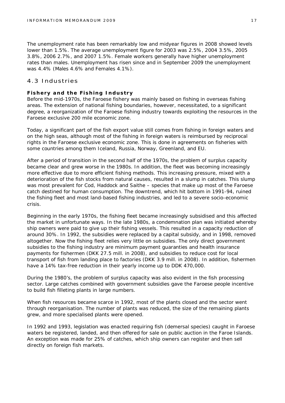The unemployment rate has been remarkably low and midyear figures in 2008 showed levels lower than 1.5%. The average unemployment figure for 2003 was 2.5%, 2004 3.5%, 2005 3.8%, 2006 2.7%, and 2007 1.5%. Female workers generally have higher unemployment rates than males. Unemployment has risen since and in September 2009 the unemployment was 4.4% (Males 4.6% and Females 4.1%).

#### 4.3 Industries

#### **Fishery and the Fishing Industry**

Before the mid-1970s, the Faroese fishery was mainly based on fishing in overseas fishing areas. The extension of national fishing boundaries, however, necessitated, to a significant degree, a reorganization of the Faroese fishing industry towards exploiting the resources in the Faroese exclusive 200 mile economic zone.

Today, a significant part of the fish export value still comes from fishing in foreign waters and on the high seas, although most of the fishing in foreign waters is reimbursed by reciprocal rights in the Faroese exclusive economic zone. This is done in agreements on fisheries with some countries among them Iceland, Russia, Norway, Greenland, and EU.

After a period of transition in the second half of the 1970s, the problem of surplus capacity became clear and grew worse in the 1980s. In addition, the fleet was becoming increasingly more effective due to more efficient fishing methods. This increasing pressure, mixed with a deterioration of the fish stocks from natural causes, resulted in a slump in catches. This slump was most prevalent for Cod, Haddock and Saithe – species that make up most of the Faroese catch destined for human consumption. The downtrend, which hit bottom in 1991-94, ruined the fishing fleet and most land-based fishing industries, and led to a severe socio-economic crisis.

Beginning in the early 1970s, the fishing fleet became increasingly subsidised and this affected the market in unfortunate ways. In the late 1980s, a condemnation plan was initiated whereby ship owners were paid to give up their fishing vessels. This resulted in a capacity reduction of around 30%. In 1992, the subsidies were replaced by a capital subsidy, and in 1998, removed altogether. Now the fishing fleet relies very little on subsidies. The only direct government subsidies to the fishing industry are minimum payment guaranties and health insurance payments for fishermen (DKK 27.5 mill. in 2008), and subsidies to reduce cost for local transport of fish from landing place to factories (DKK 3.9 mill. in 2008). In addition, fishermen have a 14% tax-free reduction in their yearly income up to DDK 470,000.

During the 1980's, the problem of surplus capacity was also evident in the fish processing sector. Large catches combined with government subsidies gave the Faroese people incentive to build fish filleting plants in large numbers.

When fish resources became scarce in 1992, most of the plants closed and the sector went through reorganisation. The number of plants was reduced, the size of the remaining plants grew, and more specialised plants were opened.

In 1992 and 1993, legislation was enacted requiring fish (demersal species) caught in Faroese waters be registered, landed, and then offered for sale on public auction in the Faroe Islands. An exception was made for 25% of catches, which ship owners can register and then sell directly on foreign fish markets.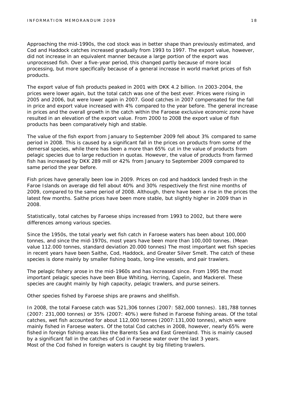Approaching the mid-1990s, the cod stock was in better shape than previously estimated, and Cod and Haddock catches increased gradually from 1993 to 1997. The export value, however, did not increase in an equivalent manner because a large portion of the export was unprocessed fish. Over a five-year period, this changed partly because of more local processing, but more specifically because of a general increase in world market prices of fish products.

The export value of fish products peaked in 2001 with DKK 4.2 billion. In 2003-2004, the prices were lower again, but the total catch was one of the best ever. Prices were rising in 2005 and 2006, but were lower again in 2007. Good catches in 2007 compensated for the fall in price and export value increased with 4% compared to the year before. The general increase in prices and the overall growth in the catch within the Faroese exclusive economic zone have resulted in an elevation of the export value. From 2000 to 2008 the export value of fish products has been comparatively high and stable.

The value of the fish export from January to September 2009 fell about 3% compared to same period in 2008. This is caused by a significant fall in the prices on products from some of the demersal species, while there has been a more than 65% cut in the value of products from pelagic species due to large reduction in quotas. However, the value of products from farmed fish has increased by DKK 289 mill or 42% from January to September 2009 compared to same period the year before.

Fish prices have generally been low in 2009. Prices on cod and haddock landed fresh in the Faroe Islands on average did fell about 40% and 30% respectively the first nine months of 2009, compared to the same period of 2008. Although, there have been a rise in the prices the latest few months. Saithe prices have been more stable, but slightly higher in 2009 than in 2008.

Statistically, total catches by Faroese ships increased from 1993 to 2002, but there were differences among various species.

Since the 1950s, the total yearly wet fish catch in Faroese waters has been about 100,000 tonnes, and since the mid-1970s, most years have been more than 100,000 tonnes. (Mean value 112.000 tonnes, standard deviation 20.000 tonnes) The most important wet fish species in recent years have been Saithe, Cod, Haddock, and Greater Silver Smelt. The catch of these species is done mainly by smaller fishing boats, long-line vessels, and pair trawlers.

The pelagic fishery arose in the mid-1960s and has increased since. From 1995 the most important pelagic species have been Blue Whiting, Herring, Capelin, and Mackerel. These species are caught mainly by high capacity, pelagic trawlers, and purse seiners.

Other species fished by Faroese ships are prawns and shellfish.

In 2008, the total Faroese catch was 521,306 tonnes (2007: 582,000 tonnes). 181,788 tonnes (2007: 231,000 tonnes) or 35% (2007: 40%) were fished in Faroese fishing areas. Of the total catches, wet fish accounted for about 112,000 tonnes (2007:131,000 tonnes), which were mainly fished in Faroese waters. Of the total Cod catches in 2008, however, nearly 65% were fished in foreign fishing areas like the Barents Sea and East Greenland. This is mainly caused by a significant fall in the catches of Cod in Faroese water over the last 3 years. Most of the Cod fished in foreign waters is caught by big filleting trawlers.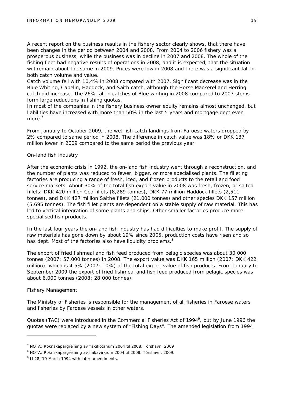A recent report on the business results in the fishery sector clearly shows, that there have been changes in the period between 2004 and 2008. From 2004 to 2006 fishery was a prosperous business, while the business was in decline in 2007 and 2008. The whole of the fishing fleet had negative results of operations in 2008, and it is expected, that the situation will remain about the same in 2009. Prices were low in 2008 and there was a significant fall in both catch volume and value.

Catch volume fell with 10,4% in 2008 compared with 2007. Significant decrease was in the Blue Whiting, Capelin, Haddock, and Saith catch, although the Horse Mackerel and Herring catch did increase. The 26% fall in catches of Blue whiting in 2008 compared to 2007 stems form large reductions in fishing quotas.

In most of the companies in the fishery business owner equity remains almost unchanged, but liabilities have increased with more than 50% in the last 5 years and mortgage dept even more.<sup>7</sup>

From January to October 2009, the wet fish catch landings from Faroese waters dropped by 2% compared to same period in 2008. The difference in catch value was 18% or DKK 137 million lower in 2009 compared to the same period the previous year.

#### *On-land fish industry*

After the economic crisis in 1992, the on-land fish industry went through a reconstruction, and the number of plants was reduced to fewer, bigger, or more specialised plants. The filleting factories are producing a range of fresh, iced, and frozen products to the retail and food service markets. About 30% of the total fish export value in 2008 was fresh, frozen, or salted fillets: DKK 420 million Cod fillets (8,289 tonnes), DKK 77 million Haddock fillets (2,511 tonnes), and DKK 427 million Saithe fillets (21,000 tonnes) and other species DKK 157 million (5,695 tonnes). The fish fillet plants are dependent on a stable supply of raw material. This has led to vertical integration of some plants and ships. Other smaller factories produce more specialised fish products.

In the last four years the on-land fish industry has had difficulties to make profit. The supply of raw materials has gone down by about 19% since 2005, production costs have risen and so has dept. Most of the factories also have liquidity problems.<sup>8</sup>

The export of fried fishmeal and fish feed produced from pelagic species was about 30,000 tonnes (2007: 57,000 tonnes) in 2008. The export value was DKK 165 million (2007: DKK 422 million), which is 4.5% (2007: 10%) of the total export value of fish products. From January to September 2009 the export of fried fishmeal and fish feed produced from pelagic species was about 6,000 tonnes (2008: 28,000 tonnes).

#### *Fishery Management*

The Ministry of Fisheries is responsible for the management of all fisheries in Faroese waters and fisheries by Faroese vessels in other waters.

Quotas (TAC) were introduced in the Commercial Fisheries Act of 1994<sup>9</sup>, but by June 1996 the quotas were replaced by a new system of "Fishing Days". The amended legislation from 1994

<sup>&</sup>lt;sup>7</sup> NOTA: Roknskapargreining av fiskiflotanum 2004 til 2008. Tórshavn, 2009

<sup>&</sup>lt;sup>8</sup> NOTA: Roknskapargreining av flakavirkjum 2004 til 2008. Tórshavn, 2009.

 $9$  LI 28, 10 March 1994 with later amendments.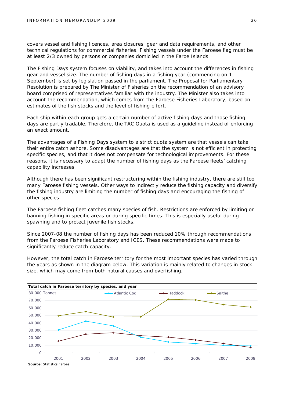covers vessel and fishing licences, area closures, gear and data requirements, and other technical regulations for commercial fisheries. Fishing vessels under the Faroese flag must be at least 2/3 owned by persons or companies domiciled in the Faroe Islands.

The Fishing Days system focuses on viability, and takes into account the differences in fishing gear and vessel size. The number of fishing days in a fishing year (commencing on 1 September) is set by legislation passed in the parliament. The Proposal for Parliamentary Resolution is prepared by The Minister of Fisheries on the recommendation of an advisory board comprised of representatives familiar with the industry. The Minister also takes into account the recommendation, which comes from the Faroese Fisheries Laboratory, based on estimates of the fish stocks and the level of fishing effort.

Each ship within each group gets a certain number of active fishing days and those fishing days are partly tradable. Therefore, the TAC Quota is used as a guideline instead of enforcing an exact amount.

The advantages of a Fishing Days system to a strict quota system are that vessels can take their entire catch ashore. Some disadvantages are that the system is not efficient in protecting specific species, and that it does not compensate for technological improvements. For these reasons, it is necessary to adapt the number of fishing days as the Faroese fleets' catching capability increases.

Although there has been significant restructuring within the fishing industry, there are still too many Faroese fishing vessels. Other ways to indirectly reduce the fishing capacity and diversify the fishing industry are limiting the number of fishing days and encouraging the fishing of other species.

The Faroese fishing fleet catches many species of fish. Restrictions are enforced by limiting or banning fishing in specific areas or during specific times. This is especially useful during spawning and to protect juvenile fish stocks.

Since 2007-08 the number of fishing days has been reduced 10% through recommendations from the Faroese Fisheries Laboratory and ICES. These recommendations were made to significantly reduce catch capacity.

However, the total catch in Faroese territory for the most important species has varied through the years as shown in the diagram below. This variation is mainly related to changes in stock size, which may come from both natural causes and overfishing.

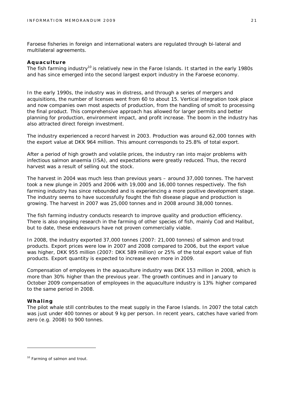Faroese fisheries in foreign and international waters are regulated through bi-lateral and multilateral agreements.

#### **Aquaculture**

The fish farming industry<sup>10</sup> is relatively new in the Faroe Islands. It started in the early 1980s and has since emerged into the second largest export industry in the Faroese economy.

In the early 1990s, the industry was in distress, and through a series of mergers and acquisitions, the number of licenses went from 60 to about 15. Vertical integration took place and now companies own most aspects of production, from the handling of smolt to processing the final product. This comprehensive approach has allowed for larger permits and better planning for production, environment impact, and profit increase. The boom in the industry has also attracted direct foreign investment.

The industry experienced a record harvest in 2003. Production was around 62,000 tonnes with the export value at DKK 964 million. This amount corresponds to 25.8% of total export.

After a period of high growth and volatile prices, the industry ran into major problems with infectious salmon anaemia (ISA), and expectations were greatly reduced. Thus, the record harvest was a result of selling out the stock.

The harvest in 2004 was much less than previous years – around 37,000 tonnes. The harvest took a new plunge in 2005 and 2006 with 19,000 and 16,000 tonnes respectively. The fish farming industry has since rebounded and is experiencing a more positive development stage. The industry seems to have successfully fought the fish disease plague and production is growing. The harvest in 2007 was 25,000 tonnes and in 2008 around 38,000 tonnes.

The fish farming industry conducts research to improve quality and production efficiency. There is also ongoing research in the farming of other species of fish, mainly Cod and Halibut, but to date, these endeavours have not proven commercially viable.

In 2008, the industry exported 37,000 tonnes (2007: 21,000 tonnes) of salmon and trout products. Export prices were low in 2007 and 2008 compared to 2006, but the export value was higher, DKK 955 million (2007: DKK 589 million) or 25% of the total export value of fish products. Export quantity is expected to increase even more in 2009.

Compensation of employees in the aquaculture industry was DKK 153 million in 2008, which is more than 30% higher than the previous year. The growth continues and in January to October 2009 compensation of employees in the aquaculture industry is 13% higher compared to the same period in 2008.

#### **Whaling**

The pilot whale still contributes to the meat supply in the Faroe Islands. In 2007 the total catch was just under 400 tonnes or about 9 kg per person. In recent years, catches have varied from zero (e.g. 2008) to 900 tonnes.

<sup>&</sup>lt;sup>10</sup> Farming of salmon and trout.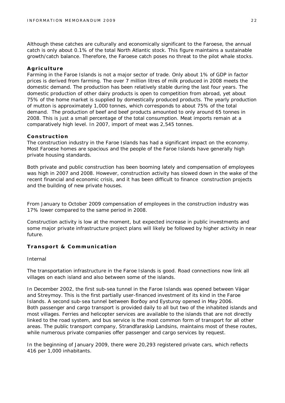Although these catches are culturally and economically significant to the Faroese, the annual catch is only about 0.1% of the total North Atlantic stock. This figure maintains a sustainable growth/catch balance. Therefore, the Faroese catch poses no threat to the pilot whale stocks.

#### **Agriculture**

Farming in the Faroe Islands is not a major sector of trade. Only about 1% of GDP in factor prices is derived from farming. The over 7 million litres of milk produced in 2008 meets the domestic demand. The production has been relatively stable during the last four years. The domestic production of other dairy products is open to competition from abroad, yet about 75% of the home market is supplied by domestically produced products. The yearly production of mutton is approximately 1,000 tonnes, which corresponds to about 75% of the total demand. The production of beef and beef products amounted to only around 65 tonnes in 2008. This is just a small percentage of the total consumption. Meat imports remain at a comparatively high level. In 2007, import of meat was 2,545 tonnes.

#### **Construction**

The construction industry in the Faroe Islands has had a significant impact on the economy. Most Faroese homes are spacious and the people of the Faroe Islands have generally high private housing standards.

Both private and public construction has been booming lately and compensation of employees was high in 2007 and 2008. However, construction activity has slowed down in the wake of the recent financial and economic crisis, and it has been difficult to finance construction projects and the building of new private houses.

From January to October 2009 compensation of employees in the construction industry was 17% lower compared to the same period in 2008.

Construction activity is low at the moment, but expected increase in public investments and some major private infrastructure project plans will likely be followed by higher activity in near future.

**Transport & Communication**

#### *Internal*

The transportation infrastructure in the Faroe Islands is good. Road connections now link all villages on each island and also between some of the islands.

In December 2002, the first sub-sea tunnel in the Faroe Islands was opened between Vágar and Streymoy. This is the first partially user-financed investment of its kind in the Faroe Islands. A second sub-sea tunnel between Borðoy and Eysturoy opened in May 2006. Both passenger and cargo transport is provided daily to all but two of the inhabited islands and most villages. Ferries and helicopter services are available to the islands that are not directly linked to the road system, and bus service is the most common form of transport for all other areas. The public transport company, Strandfaraskip Landsins, maintains most of these routes, while numerous private companies offer passenger and cargo services by request.

In the beginning of January 2009, there were 20,293 registered private cars, which reflects 416 per 1,000 inhabitants.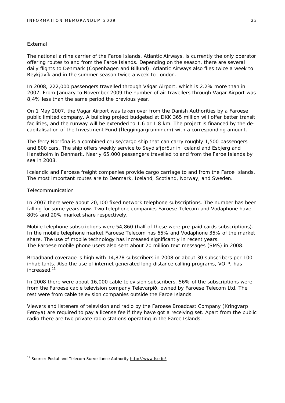#### *External*

The national airline carrier of the Faroe Islands, Atlantic Airways, is currently the only operator offering routes to and from the Faroe Islands. Depending on the season, there are several daily flights to Denmark (Copenhagen and Billund). Atlantic Airways also flies twice a week to Reykjavík and in the summer season twice a week to London.

In 2008, 222,000 passengers travelled through Vágar Airport, which is 2.2% more than in 2007. From January to November 2009 the number of air travellers through Vagar Airport was 8,4% less than the same period the previous year.

On 1 May 2007, the Vagar Airport was taken over from the Danish Authorities by a Faroese public limited company. A building project budgeted at DKK 365 million will offer better transit facilities, and the runway will be extended to 1.6 or 1.8 km. The project is financed by the decapitalisation of the Investment Fund (Íleggingargrunninum) with a corresponding amount.

The ferry Norröna is a combined cruise/cargo ship that can carry roughly 1,500 passengers and 800 cars. The ship offers weekly service to Seydisfjørður in Iceland and Esbjerg and Hanstholm in Denmark. Nearly 65,000 passengers travelled to and from the Faroe Islands by sea in 2008.

Icelandic and Faroese freight companies provide cargo carriage to and from the Faroe Islands. The most important routes are to Denmark, Iceland, Scotland, Norway, and Sweden.

#### *Telecommunication*

In 2007 there were about 20,100 fixed network telephone subscriptions. The number has been falling for some years now. Two telephone companies Faroese Telecom and Vodaphone have 80% and 20% market share respectively.

Mobile telephone subscriptions were 54,860 (half of these were pre-paid cards subscriptions). In the mobile telephone market Faroese Telecom has 65% and Vodaphone 35% of the market share. The use of mobile technology has increased significantly in recent years. The Faroese mobile phone users also sent about 20 million text messages (SMS) in 2008.

Broadband coverage is high with 14,878 subscribers in 2008 or about 30 subscribers per 100 inhabitants. Also the use of internet generated long distance calling programs, VOIP, has increased.<sup>11</sup>

In 2008 there were about 16,000 cable television subscribers. 56% of the subscriptions were from the Faroese cable television company Televarpið, owned by Faroese Telecom Ltd. The rest were from cable television companies outside the Faroe Islands.

Viewers and listeners of television and radio by the Faroese Broadcast Company (Kringvarp Føroya) are required to pay a license fee if they have got a receiving set. Apart from the public radio there are two private radio stations operating in the Faroe Islands.

<sup>&</sup>lt;sup>11</sup> Source: Postal and Telecom Surveillance Authority <http://www.fse.fo/>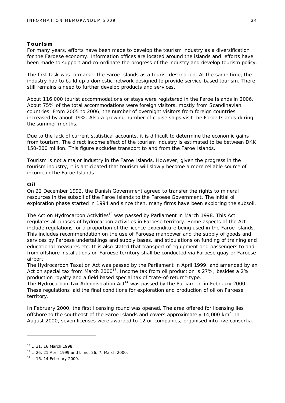#### **Tourism**

For many years, efforts have been made to develop the tourism industry as a diversification for the Faroese economy. Information offices are located around the islands and efforts have been made to support and co-ordinate the progress of the industry and develop tourism policy.

The first task was to market the Faroe Islands as a tourist destination. At the same time, the industry had to build up a domestic network designed to provide service-based tourism. There still remains a need to further develop products and services.

About 116,000 tourist accommodations or stays were registered in the Faroe Islands in 2006. About 75% of the total accommodations were foreign visitors, mostly from Scandinavian countries. From 2005 to 2006, the number of overnight visitors from foreign countries increased by about 19%. Also a growing number of cruise ships visit the Faroe Islands during the summer months.

Due to the lack of current statistical accounts, it is difficult to determine the economic gains from tourism. The direct income effect of the tourism industry is estimated to be between DKK 150-200 million. This figure excludes transport to and from the Faroe Islands.

Tourism is not a major industry in the Faroe Islands. However, given the progress in the tourism industry, it is anticipated that tourism will slowly become a more reliable source of income in the Faroe Islands.

#### **Oil**

On 22 December 1992, the Danish Government agreed to transfer the rights to mineral resources in the subsoil of the Faroe Islands to the Faroese Government. The initial oil exploration phase started in 1994 and since then, many firms have been exploring the subsoil.

The Act on Hydrocarbon Activities<sup>12</sup> was passed by Parliament in March 1998. This Act regulates all phases of hydrocarbon activities in Faroese territory. Some aspects of the Act include regulations for a proportion of the licence expenditure being used in the Faroe Islands. This includes recommendation on the use of Faroese manpower and the supply of goods and services by Faroese undertakings and supply bases, and stipulations on funding of training and educational measures etc. It is also stated that transport of equipment and passengers to and from offshore installations on Faroese territory shall be conducted via Faroese quay or Faroese airport.

The Hydrocarbon Taxation Act was passed by the Parliament in April 1999, and amended by an Act on special tax from March 2000<sup>13</sup>. Income tax from oil production is 27%, besides a 2% production royalty and a field based special tax of "rate-of-return"-type.

The Hydrocarbon Tax Administration  $Act^{14}$  was passed by the Parliament in February 2000. These regulations laid the final conditions for exploration and production of oil on Faroese territory.

In February 2000, the first licensing round was opened. The area offered for licensing lies offshore to the southeast of the Faroe Islands and covers approximately 14,000  $km^2$ . In August 2000, seven licenses were awarded to 12 oil companies, organised into five consortia.

<sup>12</sup> Ll 31, 16 March 1998.

<sup>13</sup> Ll 26, 21 April 1999 and Ll no. 26, 7. March 2000.

<sup>14</sup> Ll 16, 14 February 2000.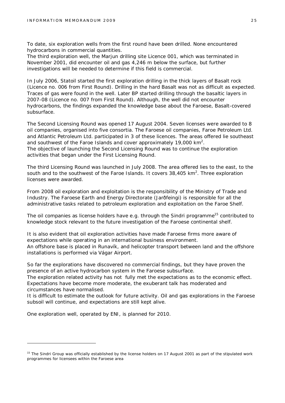To date, six exploration wells from the first round have been drilled. None encountered hydrocarbons in commercial quantities.

The third exploration well, the Marjun drilling site Licence 001, which was terminated in November 2001, did encounter oil and gas 4,246 m below the surface, but further investigations will be needed to determine if this field is commercial.

In July 2006, Statoil started the first exploration drilling in the thick layers of Basalt rock (Licence no. 006 from First Round). Drilling in the hard Basalt was not as difficult as expected. Traces of gas were found in the well. Later BP started drilling through the basaltic layers in 2007-08 (Licence no. 007 from First Round). Although, the well did not encounter hydrocarbons, the findings expanded the knowledge base about the Faroese, Basalt-covered subsurface.

The Second Licensing Round was opened 17 August 2004. Seven licenses were awarded to 8 oil companies, organised into five consortia. The Faroese oil companies, Faroe Petroleum Ltd. and Atlantic Petroleum Ltd. participated in 3 of these licences. The areas offered lie southeast and southwest of the Faroe Islands and cover approximately 19,000  $km^2$ . The objective of launching the Second Licensing Round was to continue the exploration activities that began under the First Licensing Round.

The third Licensing Round was launched in July 2008. The area offered lies to the east, to the south and to the southwest of the Faroe Islands. It covers  $38,405$  km<sup>2</sup>. Three exploration licenses were awarded.

From 2008 oil exploration and exploitation is the responsibility of the Ministry of Trade and Industry. The Faroese Earth and Energy Directorate (Jarðfeingi) is responsible for all the administrative tasks related to petroleum exploration and exploitation on the Faroe Shelf.

The oil companies as license holders have e.g. through the Sindri programme<sup>15</sup> contributed to knowledge stock relevant to the future investigation of the Faroese continental shelf.

It is also evident that oil exploration activities have made Faroese firms more aware of expectations while operating in an international business environment.

An offshore base is placed in Runavík, and helicopter transport between land and the offshore installations is performed via Vágar Airport.

So far the explorations have discovered no commercial findings, but they have proven the presence of an active hydrocarbon system in the Faroese subsurface.

The exploration related activity has not fully met the expectations as to the economic effect. Expectations have become more moderate, the exuberant talk has moderated and circumstances have normalised.

It is difficult to estimate the outlook for future activity. Oil and gas explorations in the Faroese subsoil will continue, and expectations are still kept alive.

One exploration well, operated by ENI, is planned for 2010.

<sup>&</sup>lt;sup>15</sup> The Sindri Group was officially established by the license holders on 17 August 2001 as part of the stipulated work programmes for licensees within the Faroese area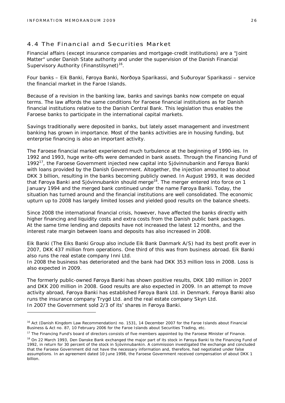#### 4.4 The Financial and Securities Market

Financial affairs (except insurance companies and mortgage-credit institutions) are a "Joint Matter" under Danish State authority and under the supervision of the Danish Financial Supervisory Authority (Finanstilsynet)<sup>16</sup>.

Four banks – Eik Banki, Føroya Banki, Norðoya Sparikassi, and Suðuroyar Sparikassi – service the financial market in the Faroe Islands.

Because of a revision in the banking law, banks and savings banks now compete on equal terms. The law affords the same conditions for Faroese financial institutions as for Danish financial institutions relative to the Danish Central Bank. This legislation thus enables the Faroese banks to participate in the international capital markets.

Savings traditionally were deposited in banks, but lately asset management and investment banking has grown in importance. Most of the banks activities are in housing funding, but enterprise financing is also an important activity.

The Faroese financial market experienced much turbulence at the beginning of 1990-ies. In 1992 and 1993, huge write-offs were demanded in bank assets. Through the Financing Fund of 1992<sup>17</sup>, the Faroese Government injected new capital into Sjóvinnubankin and Føroya Banki with loans provided by the Danish Government. Altogether, the injection amounted to about DKK 3 billion, resulting in the banks becoming publicly owned. In August 1993, it was decided that Føroya Banki and Sjóvinnubankin should merge<sup>18</sup>. The merger entered into force on 1 January 1994 and the merged bank continued under the name Føroya Banki. Today, the situation has turned around and the financial institutions are well consolidated. The economic upturn up to 2008 has largely limited losses and yielded good results on the balance sheets.

Since 2008 the international financial crisis, however, have affected the banks directly with higher financing and liquidity costs and extra costs from the Danish public bank packages. At the same time lending and deposits have not increased the latest 12 months, and the interest rate margin between loans and deposits has also increased in 2008.

Eik Banki (The Eiks Banki Group also include Eik Bank Danmark A/S) had its best profit ever in 2007, DKK 437 million from operations. One third of this was from business abroad. Eik Banki also runs the real estate company Inni Ltd.

In 2008 the business has deteriorated and the bank had DKK 353 million loss in 2008. Loss is also expected in 2009.

The formerly public-owned Føroya Banki has shown positive results, DKK 180 million in 2007 and DKK 200 million in 2008. Good results are also expected in 2009. In an attempt to move activity abroad, Føroya Banki has established Føroya Bank Ltd. in Denmark. Føroya Banki also runs the insurance company Trygd Ltd. and the real estate company Skyn Ltd. In 2007 the Government sold 2/3 of its' shares in Føroya Banki.

<sup>&</sup>lt;sup>16</sup> Act (Danish Kingdom Law Recommendation) no. 1531, 14 December 2007 for the Faroe Islands about Financial Business & Act no. 87, 10 February 2006 for the Faroe Islands about Securities Trading, etc.

<sup>&</sup>lt;sup>17</sup> The Financing Fund's board of directors consists of five members appointed by the Faroese Minister of Finance.

<sup>&</sup>lt;sup>18</sup> On 22 March 1993, Den Danske Bank exchanged the major part of its stock in Føroya Banki to the Financing Fund of 1992, in return for 30 percent of the stock in Sjóvinnubankin. A commission investigated the exchange and concluded that the Faroese Government did not have the necessary information and, therefore, had negotiated under false assumptions. In an agreement dated 10 June 1998, the Faroese Government received compensation of about DKK 1 billion.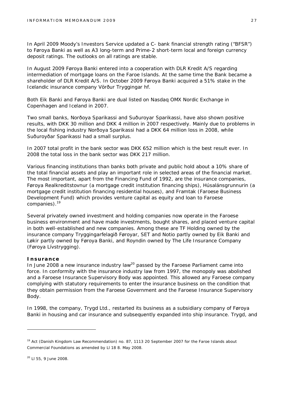In April 2009 Moody's Investors Service updated a C- bank financial strength rating ("BFSR") to Føroya Banki as well as A3 long-term and Prime-2 short-term local and foreign currency deposit ratings. The outlooks on all ratings are stable.

In August 2009 Føroya Banki entered into a cooperation with DLR Kredit A/S regarding intermediation of mortgage loans on the Faroe Islands. At the same time the Bank became a shareholder of DLR Kredit A/S. In October 2009 Føroya Banki acquired a 51% stake in the Icelandic insurance company Vörður Tryggingar hf.

Both Eik Banki and Føroya Banki are dual listed on Nasdaq OMX Nordic Exchange in Copenhagen and Iceland in 2007.

Two small banks, Norðoya Sparikassi and Suðuroyar Sparikassi, have also shown positive results, with DKK 30 million and DKK 4 million in 2007 respectively. Mainly due to problems in the local fishing industry Norðoya Sparikassi had a DKK 64 million loss in 2008, while Suðuroyðar Sparikassi had a small surplus.

In 2007 total profit in the bank sector was DKK 652 million which is the best result ever. In 2008 the total loss in the bank sector was DKK 217 million.

Various financing institutions than banks both private and public hold about a 10% share of the total financial assets and play an important role in selected areas of the financial market. The most important, apart from the Financing Fund of 1992, are the insurance companies, Føroya Realkreditstovnur (a mortgage credit institution financing ships), Húsalánsgrunnurin (a mortgage credit institution financing residential houses), and Framtak (Faroese Business Development Fund) which provides venture capital as equity and loan to Faroese companies).<sup>19</sup>

Several privately owned investment and holding companies now operate in the Faroese business environment and have made investments, bought shares, and placed venture capital in both well-established and new companies. Among these are TF Holding owned by the insurance company Tryggingarfelagið Føroyar, SET and Notio partly owned by Eik Banki and Løkir partly owned by Føroya Banki, and Royndin owned by The Life Insurance Company (Føroya Lívstrygging).

#### **Insurance**

In June 2008 a new insurance industry law<sup>20</sup> passed by the Faroese Parliament came into force. In conformity with the insurance industry law from 1997, the monopoly was abolished and a Faroese Insurance Supervisory Body was appointed. This allowed any Faroese company complying with statutory requirements to enter the insurance business on the condition that they obtain permission from the Faroese Government and the Faroese Insurance Supervisory Body.

In 1998, the company, Trygd Ltd., restarted its business as a subsidiary company of Føroya Banki in housing and car insurance and subsequently expanded into ship insurance. Trygd, and

<sup>&</sup>lt;sup>19</sup> Act (Danish Kingdom Law Recommendation) no. 87, 1113 20 September 2007 for the Faroe Islands about Commercial Foundations as amended by Ll 18 8. May 2008.

<sup>20</sup> Ll 55, 9 June 2008.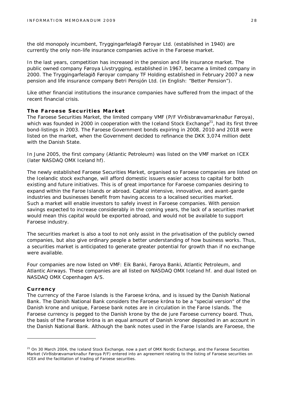the old monopoly incumbent, Tryggingarfelagið Føroyar Ltd. (established in 1940) are currently the only non-life insurance companies active in the Faroese market.

In the last years, competition has increased in the pension and life insurance market. The public owned company Føroya Lívstrygging, established in 1967, became a limited company in 2000. The Tryggingarfelagið Føroyar company TF Holding established in February 2007 a new pension and life insurance company Betri Pensjón Ltd. (in English: "Better Pension").

Like other financial institutions the insurance companies have suffered from the impact of the recent financial crisis.

#### **The Faroese Securities Market**

The Faroese Securities Market, the limited company VMF (P/F Virðisbrævamarknaður Føroya), which was founded in 2000 in cooperation with the Iceland Stock Exchange<sup>21</sup>, had its first three bond-listings in 2003. The Faroese Government bonds expiring in 2008, 2010 and 2018 were listed on the market, when the Government decided to refinance the DKK 3,074 million debt with the Danish State.

In June 2005, the first company (Atlantic Petroleum) was listed on the VMF market on ICEX (later NASDAQ OMX Iceland hf).

The newly established Faroese Securities Market, organised so Faroese companies are listed on the Icelandic stock exchange, will afford domestic issuers easier access to capital for both existing and future initiatives. This is of great importance for Faroese companies desiring to expand within the Faroe Islands or abroad. Capital intensive, innovative, and avant-garde industries and businesses benefit from having access to a localised securities market. Such a market will enable investors to safely invest in Faroese companies. With pension savings expected to increase considerably in the coming years, the lack of a securities market would mean this capital would be exported abroad, and would not be available to support Faroese industry.

The securities market is also a tool to not only assist in the privatisation of the publicly owned companies, but also give ordinary people a better understanding of how business works. Thus, a securities market is anticipated to generate greater potential for growth than if no exchange were available.

Four companies are now listed on VMF: Eik Banki, Føroya Banki, Atlantic Petroleum, and Atlantic Airways. These companies are all listed on NASDAQ OMX Iceland hf. and dual listed on NASDAQ OMX Copenhagen A/S.

#### **Currency**

The currency of the Faroe Islands is the Faroese króna, and is issued by the Danish National Bank. The Danish National Bank considers the Faroese króna to be a "special version" of the Danish krone and unique, Faroese bank notes are in circulation in the Faroe Islands. The Faroese currency is pegged to the Danish krone by the *de jure* Faroese currency board. Thus, the basis of the Faroese króna is an equal amount of Danish kroner deposited in an account in the Danish National Bank. Although the bank notes used in the Faroe Islands are Faroese, the

 $21$  On 30 March 2004, the Iceland Stock Exchange, now a part of OMX Nordic Exchange, and the Faroese Securities Market (Virðisbrævamarknaður Føroya P/F) entered into an agreement relating to the listing of Faroese securities on ICEX and the facilitation of trading of Faroese securities.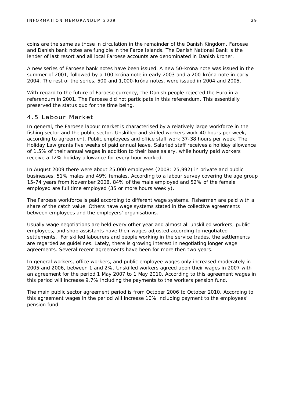coins are the same as those in circulation in the remainder of the Danish Kingdom. Faroese and Danish bank notes are fungible in the Faroe Islands. The Danish National Bank is the lender of last resort and all local Faroese accounts are denominated in Danish kroner.

A new series of Faroese bank notes have been issued. A new 50-króna note was issued in the summer of 2001, followed by a 100-króna note in early 2003 and a 200-króna note in early 2004. The rest of the series, 500 and 1,000-króna notes, were issued in 2004 and 2005.

With regard to the future of Faroese currency, the Danish people rejected the Euro in a referendum in 2001. The Faroese did not participate in this referendum. This essentially preserved the status quo for the time being.

#### 4.5 Labour Market

In general, the Faroese labour market is characterised by a relatively large workforce in the fishing sector and the public sector. Unskilled and skilled workers work 40 hours per week, according to agreement. Public employees and office staff work 37-38 hours per week. The Holiday Law grants five weeks of paid annual leave. Salaried staff receives a holiday allowance of 1.5% of their annual wages in addition to their base salary, while hourly paid workers receive a 12% holiday allowance for every hour worked.

In August 2009 there were about 25,000 employees (2008: 25,992) in private and public businesses, 51% males and 49% females. According to a labour survey covering the age group 15-74 years from November 2008, 84% of the male employed and 52% of the female employed are full time employed (35 or more hours weekly).

The Faroese workforce is paid according to different wage systems. Fishermen are paid with a share of the catch value. Others have wage systems stated in the collective agreements between employees and the employers' organisations.

Usually wage negotiations are held every other year and almost all unskilled workers, public employees, and shop assistants have their wages adjusted according to negotiated settlements. For skilled labourers and people working in the service trades, the settlements are regarded as guidelines. Lately, there is growing interest in negotiating longer wage agreements. Several recent agreements have been for more then two years.

In general workers, office workers, and public employee wages only increased moderately in 2005 and 2006, between 1 and 2%. Unskilled workers agreed upon their wages in 2007 with an agreement for the period 1 May 2007 to 1 May 2010. According to this agreement wages in this period will increase 9.7% including the payments to the workers pension fund.

The main public sector agreement period is from October 2006 to October 2010. According to this agreement wages in the period will increase 10% including payment to the employees' pension fund.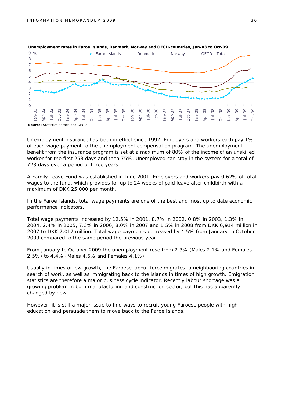

Unemployment insurance has been in effect since 1992. Employers and workers each pay 1% of each wage payment to the unemployment compensation program. The unemployment benefit from the insurance program is set at a maximum of 80% of the income of an unskilled worker for the first 253 days and then 75%. Unemployed can stay in the system for a total of 723 days over a period of three years.

A Family Leave Fund was established in June 2001. Employers and workers pay 0.62% of total wages to the fund, which provides for up to 24 weeks of paid leave after childbirth with a maximum of DKK 25,000 per month.

In the Faroe Islands, total wage payments are one of the best and most up to date economic performance indicators.

Total wage payments increased by 12.5% in 2001, 8.7% in 2002, 0.8% in 2003, 1.3% in 2004, 2.4% in 2005, 7.3% in 2006, 8.0% in 2007 and 1.5% in 2008 from DKK 6,914 million in 2007 to DKK 7,017 million. Total wage payments decreased by 4.5% from January to October 2009 compared to the same period the previous year.

From January to October 2009 the unemployment rose from 2.3% (Males 2.1% and Females 2.5%) to 4.4% (Males 4.6% and Females 4.1%).

Usually in times of low growth, the Faroese labour force migrates to neighbouring countries in search of work, as well as immigrating back to the islands in times of high growth. Emigration statistics are therefore a major business cycle indicator. Recently labour shortage was a growing problem in both manufacturing and construction sector, but this has apparently changed by now.

However, it is still a major issue to find ways to recruit young Faroese people with high education and persuade them to move back to the Faroe Islands.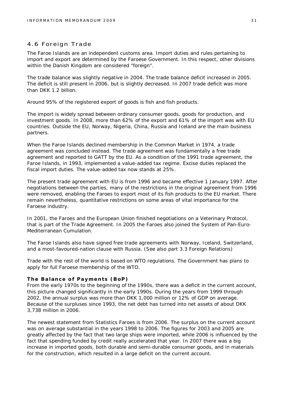#### 4.6 Foreign Trade

The Faroe Islands are an independent customs area. Import duties and rules pertaining to import and export are determined by the Faroese Government. In this respect, other divisions within the Danish Kingdom are considered "foreign".

The trade balance was slightly negative in 2004. The trade balance deficit increased in 2005. The deficit is still present in 2006, but is slightly decreased. In 2007 trade deficit was more than DKK 1.2 billion.

Around 95% of the registered export of goods is fish and fish products.

The import is widely spread between ordinary consumer goods, goods for production, and investment goods. In 2008, more than 62% of the export and 61% of the import was with EU countries. Outside the EU, Norway, Nigeria, China, Russia and Iceland are the main business partners.

When the Faroe Islands declined membership in the Common Market in 1974, a trade agreement was concluded instead. The trade agreement was fundamentally a free trade agreement and reported to GATT by the EU. As a condition of the 1991 trade agreement, the Faroe Islands, in 1993, implemented a value-added tax regime. Excise duties replaced the fiscal import duties. The value-added tax now stands at 25%.

The present trade agreement with EU is from 1996 and became effective 1 January 1997. After negotiations between the parties, many of the restrictions in the original agreement from 1996 were removed, enabling the Faroes to export most of its fish products to the EU market. There remain nevertheless, quantitative restrictions on some areas of vital importance for the Faroese industry.

In 2001, the Faroes and the European Union finished negotiations on a Veterinary Protocol, that is part of the Trade Agreement. In 2005 the Faroes also joined the System of Pan-Euro-Mediterranean Cumulation.

The Faroe Islands also have signed free trade agreements with Norway, Iceland, Switzerland, and a most-favoured-nation clause with Russia. (See also part 3.3 Foreign Relations)

Trade with the rest of the world is based on WTO regulations. The Government has plans to apply for full Faroese membership of the WTO.

#### **The Balance of Payments (BoP)**

From the early 1970s to the beginning of the 1990s, there was a deficit in the current account, this picture changed significantly in the early 1990s. During the years from 1999 through 2002, the annual surplus was more than DKK 1,000 million or 12% of GDP on average. Because of the surpluses since 1993, the net debt has turned into net assets of about DKK 3,738 million in 2006.

The newest statement from Statistics Faroes is from 2006. The surplus on the current account was on average substantial in the years 1998 to 2006. The figures for 2003 and 2005 are greatly affected by the fact that two large ships were imported, while 2006 is influenced by the fact that spending funded by credit really accelerated that year. In 2007 there was a big increase in imported goods, both durable and semi-durable consumer goods, and in materials for the construction, which resulted in a large deficit on the current account.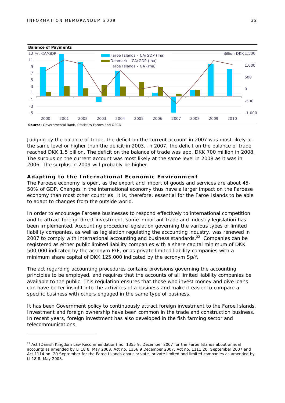

Judging by the balance of trade, the deficit on the current account in 2007 was most likely at the same level or higher than the deficit in 2003. In 2007, the deficit on the balance of trade reached DKK 1.5 billion. The deficit on the balance of trade was app. DKK 700 million in 2008. The surplus on the current account was most likely at the same level in 2008 as it was in 2006. The surplus in 2009 will probably be higher.

#### **Adapting to the International Economic Environment**

The Faroese economy is open, as the export and import of goods and services are about 45- 50% of GDP. Changes in the international economy thus have a larger impact on the Faroese economy than most other countries. It is, therefore, essential for the Faroe Islands to be able to adapt to changes from the outside world.

In order to encourage Faroese businesses to respond effectively to international competition and to attract foreign direct investment, some important trade and industry legislation has been implemented. Accounting procedure legislation governing the various types of limited liability companies, as well as legislation regulating the accounting industry, was renewed in 2007 to comply with international accounting and business standards.<sup>22</sup> Companies can be registered as either public limited liability companies with a share capital minimum of DKK 500,000 indicated by the acronym P/F, or as private limited liability companies with a minimum share capital of DKK 125,000 indicated by the acronym Sp/f.

The act regarding accounting procedures contains provisions governing the accounting principles to be employed, and requires that the accounts of all limited liability companies be available to the public. This regulation ensures that those who invest money and give loans can have better insight into the activities of a business and make it easier to compare a specific business with others engaged in the same type of business.

It has been Government policy to continuously attract foreign investment to the Faroe Islands. Investment and foreign ownership have been common in the trade and construction business. In recent years, foreign investment has also developed in the fish farming sector and telecommunications.

<sup>&</sup>lt;sup>22</sup> Act (Danish Kingdom Law Recommendation) no. 1355 9. December 2007 for the Faroe Islands about annual accounts as amended by Ll 18 8. May 2008. Act no. 1356 9 December 2007, Act no. 1111 20. September 2007 and Act 1114 no. 20 September for the Faroe Islands about private, private limited and limited companies as amended by Ll 18 8. May 2008.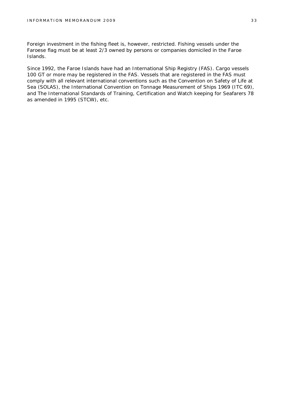Foreign investment in the fishing fleet is, however, restricted. Fishing vessels under the Faroese flag must be at least 2/3 owned by persons or companies domiciled in the Faroe Islands.

Since 1992, the Faroe Islands have had an International Ship Registry (FAS). Cargo vessels 100 GT or more may be registered in the FAS. Vessels that are registered in the FAS must comply with all relevant international conventions such as the Convention on Safety of Life at Sea (SOLAS), the International Convention on Tonnage Measurement of Ships 1969 (ITC 69), and The International Standards of Training, Certification and Watch keeping for Seafarers 78 as amended in 1995 (STCW), etc.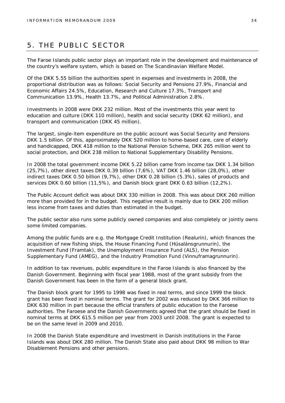## 5. THE PUBLIC SECTOR

The Faroe Islands public sector plays an important role in the development and maintenance of the country's welfare system, which is based on The Scandinavian Welfare Model.

Of the DKK 5.55 billion the authorities spent in expenses and investments in 2008, the proportional distribution was as follows: Social Security and Pensions 27.9%, Financial and Economic Affairs 24.5%, Education, Research and Culture 17.3%, Transport and Communication 13.9%, Health 13.7%, and Political Administration 2.8%.

Investments in 2008 were DKK 232 million. Most of the investments this year went to education and culture (DKK 110 million), health and social security (DKK 62 million), and transport and communication (DKK 45 million).

The largest, single-item expenditure on the public account was Social Security and Pensions DKK 1.5 billion. Of this, approximately DKK 520 million to home-based care, care of elderly and handicapped, DKK 418 million to the National Pension Scheme, DKK 265 million went to social protection, and DKK 238 million to National Supplementary Disability Pensions.

In 2008 the total government income DKK 5.22 billion came from income tax DKK 1.34 billion (25,7%), other direct taxes DKK 0.39 billion (7,6%), VAT DKK 1.46 billion (28,0%), other indirect taxes DKK 0.50 billion (9,7%), other DKK 0.28 billion (5.3%), sales of products and services DKK 0.60 billion (11,5%), and Danish block grant DKK 0.63 billion (12,2%).

The Public Account deficit was about DKK 330 million in 2008. This was about DKK 260 million more than provided for in the budget. This negative result is mainly due to DKK 200 million less income from taxes and duties than estimated in the budget.

The public sector also runs some publicly owned companies and also completely or jointly owns some limited companies.

Among the public funds are e.g. the Mortgage Credit Institution (Realurin), which finances the acquisition of new fishing ships, the House Financing Fund (Húsalánsgrunnurin), the Investment Fund (Framtak), the Unemployment Insurance Fund (ALS), the Pension Supplementary Fund (AMEG), and the Industry Promotion Fund (Vinnuframagrunnurin).

In addition to tax revenues, public expenditure in the Faroe Islands is also financed by the Danish Government. Beginning with fiscal year 1988, most of the grant subsidy from the Danish Government has been in the form of a general block grant.

The Danish block grant for 1995 to 1998 was fixed in real terms, and since 1999 the block grant has been fixed in nominal terms. The grant for 2002 was reduced by DKK 366 million to DKK 630 million in part because the official transfers of public education to the Faroese authorities. The Faroese and the Danish Governments agreed that the grant should be fixed in nominal terms at DKK 615.5 million per year from 2003 until 2008. The grant is expected to be on the same level in 2009 and 2010.

In 2008 the Danish State expenditure and investment in Danish institutions in the Faroe Islands was about DKK 280 million. The Danish State also paid about DKK 98 million to War Disablement Pensions and other pensions.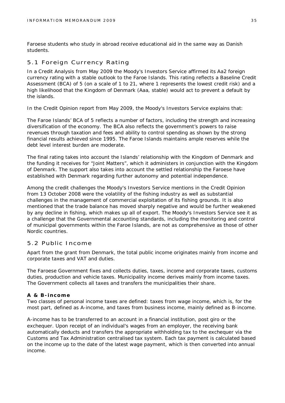Faroese students who study in abroad receive educational aid in the same way as Danish students.

#### 5.1 Foreign Currency Rating

In a Credit Analysis from May 2009 the Moody's Investors Service affirmed its Aa2 foreign currency rating with a stable outlook to the Faroe Islands. This rating reflects a Baseline Credit Assessment (BCA) of 5 (on a scale of 1 to 21, where 1 represents the lowest credit risk) and a high likelihood that the Kingdom of Denmark (Aaa, stable) would act to prevent a default by the islands.

In the Credit Opinion report from May 2009, the Moody's Investors Service explains that:

The Faroe Islands' BCA of 5 reflects a number of factors, including the strength and increasing diversification of the economy. The BCA also reflects the government's powers to raise revenues through taxation and fees and ability to control spending as shown by the strong financial results achieved since 1995. The Faroe Islands maintains ample reserves while the debt level interest burden are moderate.

The final rating takes into account the Islands' relationship with the Kingdom of Denmark and the funding it receives for "Joint Matters", which it administers in conjunction with the Kingdom of Denmark. The support also takes into account the settled relationship the Faroese have established with Denmark regarding further autonomy and potential independence.

Among the credit challenges the Moody's Investors Service mentions in the Credit Opinion from 13 October 2008 were the volatility of the fishing industry as well as substantial challenges in the management of commercial exploitation of its fishing grounds. It is also mentioned that the trade balance has moved sharply negative and would be further weakened by any decline in fishing, which makes up all of export. The Moody's Investors Service see it as a challenge that the Governmental accounting standards, including the monitoring and control of municipal governments within the Faroe Islands, are not as comprehensive as those of other Nordic countries.

#### 5.2 Public Income

Apart from the grant from Denmark, the total public income originates mainly from income and corporate taxes and VAT and duties.

The Faroese Government fixes and collects duties, taxes, income and corporate taxes, customs duties, production and vehicle taxes. Municipality income derives mainly from income taxes. The Government collects all taxes and transfers the municipalities their share.

#### **A & B-income**

Two classes of personal income taxes are defined: taxes from wage income, which is, for the most part, defined as A-income, and taxes from business income, mainly defined as B-income.

A-income has to be transferred to an account in a financial institution, post giro or the exchequer. Upon receipt of an individual's wages from an employer, the receiving bank automatically deducts and transfers the appropriate withholding tax to the exchequer via the Customs and Tax Administration centralised tax system. Each tax payment is calculated based on the income up to the date of the latest wage payment, which is then converted into annual income.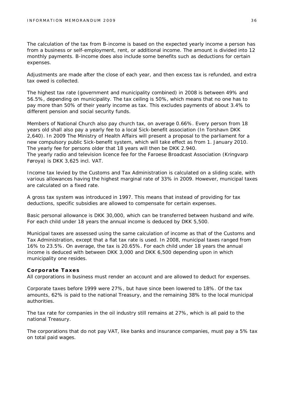The calculation of the tax from B-income is based on the expected yearly income a person has from a business or self-employment, rent, or additional income. The amount is divided into 12 monthly payments. B-income does also include some benefits such as deductions for certain expenses.

Adjustments are made after the close of each year, and then excess tax is refunded, and extra tax owed is collected.

The highest tax rate (government and municipality combined) in 2008 is between 49% and 56.5%, depending on municipality. The tax ceiling is 50%, which means that no one has to pay more than 50% of their yearly income as tax. This excludes payments of about 3.4% to different pension and social security funds.

Members of National Church also pay church tax, on average 0.66%. Every person from 18 years old shall also pay a yearly fee to a local Sick-benefit association (In Torshavn DKK 2,640). In 2009 The Ministry of Health Affairs will present a proposal to the parliament for a new compulsory public Sick-benefit system, which will take effect as from 1. January 2010. The yearly fee for persons older that 18 years will then be DKK 2.940. The yearly radio and television licence fee for the Faroese Broadcast Association (Kringvarp Føroya) is DKK 3,625 incl. VAT.

Income tax levied by the Customs and Tax Administration is calculated on a sliding scale, with various allowances having the highest marginal rate of 33% in 2009. However, municipal taxes are calculated on a fixed rate.

A gross tax system was introduced in 1997. This means that instead of providing for tax deductions, specific subsidies are allowed to compensate for certain expenses.

Basic personal allowance is DKK 30,000, which can be transferred between husband and wife. For each child under 18 years the annual income is deduced by DKK 5,500.

Municipal taxes are assessed using the same calculation of income as that of the Customs and Tax Administration, except that a flat tax rate is used. In 2008, municipal taxes ranged from 16% to 23.5%. On average, the tax is 20.65%. For each child under 18 years the annual income is deduced with between DKK 3,000 and DKK 6,500 depending upon in which municipality one resides.

#### **Corporate Taxes**

All corporations in business must render an account and are allowed to deduct for expenses.

Corporate taxes before 1999 were 27%, but have since been lowered to 18%. Of the tax amounts, 62% is paid to the national Treasury, and the remaining 38% to the local municipal authorities.

The tax rate for companies in the oil industry still remains at 27%, which is all paid to the national Treasury.

The corporations that do not pay VAT, like banks and insurance companies, must pay a 5% tax on total paid wages.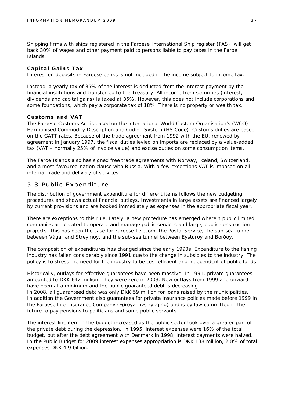Shipping firms with ships registered in the Faroese International Ship register (FAS), will get back 30% of wages and other payment paid to persons liable to pay taxes in the Faroe Islands.

#### **Capital Gains Tax**

Interest on deposits in Faroese banks is not included in the income subject to income tax.

Instead, a yearly tax of 35% of the interest is deducted from the interest payment by the financial institutions and transferred to the Treasury. All income from securities (interest, dividends and capital gains) is taxed at 35%. However, this does not include corporations and some foundations, which pay a corporate tax of 18%. There is no property or wealth tax.

#### **Customs and VAT**

The Faroese Customs Act is based on the international World Custom Organisation's (WCO) Harmonised Commodity Description and Coding System (HS Code). Customs duties are based on the GATT rates. Because of the trade agreement from 1992 with the EU, renewed by agreement in January 1997, the fiscal duties levied on imports are replaced by a value-added tax (VAT – normally 25% of invoice value) and excise duties on some consumption items.

The Faroe Islands also has signed free trade agreements with Norway, Iceland, Switzerland, and a most-favoured-nation clause with Russia. With a few exceptions VAT is imposed on all internal trade and delivery of services.

#### 5.3 Public Expenditure

The distribution of government expenditure for different items follows the new budgeting procedures and shows actual financial outlays. Investments in large assets are financed largely by current provisions and are booked immediately as expenses in the appropriate fiscal year.

There are exceptions to this rule. Lately, a new procedure has emerged wherein public limited companies are created to operate and manage public services and large, public construction projects. This has been the case for Faroese Telecom, the Postal Service, the sub-sea tunnel between Vágar and Streymoy, and the sub-sea tunnel between Eysturoy and Borðoy.

The composition of expenditures has changed since the early 1990s. Expenditure to the fishing industry has fallen considerably since 1991 due to the change in subsidies to the industry. The policy is to stress the need for the industry to be cost efficient and independent of public funds.

Historically, outlays for effective guarantees have been massive. In 1991, private guarantees amounted to DKK 642 million. They were zero in 2003. New outlays from 1999 and onward have been at a minimum and the public guaranteed debt is decreasing. In 2008, all guaranteed debt was only DKK 59 million for loans raised by the municipalities. In addition the Government also guarantees for private insurance policies made before 1999 in the Faroese Life Insurance Company (Føroya Lívstrygging) and is by law committed in the future to pay pensions to politicians and some public servants.

The interest line item in the budget increased as the public sector took over a greater part of the private debt during the depression. In 1995, interest expenses were 16% of the total budget, but after the debt agreement with Denmark in 1998, interest payments were halved. In the Public Budget for 2009 interest expenses appropriation is DKK 138 million, 2.8% of total expenses DKK 4.9 billion.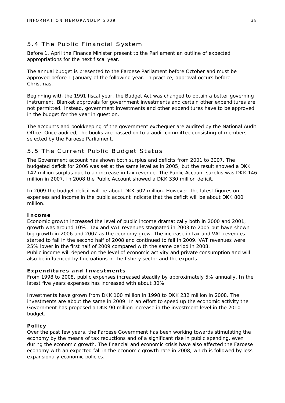#### 5.4 The Public Financial System

Before 1. April the Finance Minister present to the Parliament an outline of expected appropriations for the next fiscal year.

The annual budget is presented to the Faroese Parliament before October and must be approved before 1 January of the following year. In practice, approval occurs before Christmas.

Beginning with the 1991 fiscal year, the Budget Act was changed to obtain a better governing instrument. Blanket approvals for government investments and certain other expenditures are not permitted. Instead, government investments and other expenditures have to be approved in the budget for the year in question.

The accounts and bookkeeping of the government exchequer are audited by the National Audit Office. Once audited, the books are passed on to a audit committee consisting of members selected by the Faroese Parliament.

#### 5.5 The Current Public Budget Status

The Government account has shown both surplus and deficits from 2001 to 2007. The budgeted deficit for 2006 was set at the same level as in 2005, but the result showed a DKK 142 million surplus due to an increase in tax revenue. The Public Account surplus was DKK 146 million in 2007. In 2008 the Public Account showed a DKK 330 million deficit.

In 2009 the budget deficit will be about DKK 502 million. However, the latest figures on expenses and income in the public account indicate that the deficit will be about DKK 800 million.

#### **Income**

Economic growth increased the level of public income dramatically both in 2000 and 2001, growth was around 10%. Tax and VAT revenues stagnated in 2003 to 2005 but have shown big growth in 2006 and 2007 as the economy grew. The increase in tax and VAT revenues started to fall in the second half of 2008 and continued to fall in 2009. VAT revenues were 25% lower in the first half of 2009 compared with the same period in 2008. Public income will depend on the level of economic activity and private consumption and will also be influenced by fluctuations in the fishery sector and the exports.

#### **Expenditures and Investments**

From 1998 to 2008, public expenses increased steadily by approximately 5% annually. In the latest five years expenses has increased with about 30%

Investments have grown from DKK 100 million in 1998 to DKK 232 million in 2008. The investments are about the same in 2009. In an effort to speed up the economic activity the Government has proposed a DKK 90 million increase in the investment level in the 2010 budget.

#### **Policy**

Over the past few years, the Faroese Government has been working towards stimulating the economy by the means of tax reductions and of a significant rise in public spending, even during the economic growth. The financial and economic crisis have also affected the Faroese economy with an expected fall in the economic growth rate in 2008, which is followed by less expansionary economic policies.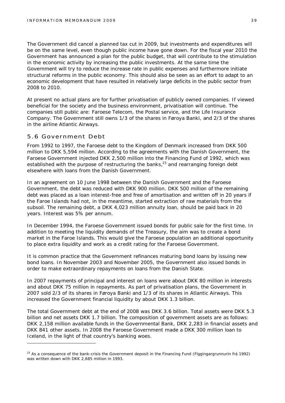The Government did cancel a planned tax cut in 2009, but investments and expenditures will be on the same level, even though public income have gone down. For the fiscal year 2010 the Government has announced a plan for the public budget, that will contribute to the stimulation in the economic activity by increasing the public investments. At the same time the Government will try to reduce the increase rate in public expenses and furthermore initiate structural reforms in the public economy. This should also be seen as an effort to adapt to an economic development that have resulted in relatively large deficits in the public sector from 2008 to 2010.

At present no actual plans are for further privatisation of publicly owned companies. If viewed beneficial for the society and the business environment, privatisation will continue. The companies still public are: Faroese Telecom, the Postal service, and the Life Insurance Company. The Government still owns 1/3 of the shares in Føroya Banki, and 2/3 of the shares in the airline Atlantic Airways.

#### 5.6 Government Debt

From 1992 to 1997, the Faroese debt to the Kingdom of Denmark increased from DKK 500 million to DKK 5,594 million. According to the agreements with the Danish Government, the Faroese Government injected DKK 2,500 million into the Financing Fund of 1992, which was established with the purpose of restructuring the banks, $^{23}$  and rearranging foreign debt elsewhere with loans from the Danish Government.

In an agreement on 10 June 1998 between the Danish Government and the Faroese Government, the debt was reduced with DKK 900 million. DKK 500 million of the remaining debt was placed as a loan interest-free and free of amortisation and written off in 20 years if the Faroe Islands had not, in the meantime, started extraction of raw materials from the subsoil. The remaining debt, a DKK 4,023 million annuity loan, should be paid back in 20 years. Interest was 5% per annum.

In December 1994, the Faroese Government issued bonds for public sale for the first time. In addition to meeting the liquidity demands of the Treasury, the aim was to create a bond market in the Faroe Islands. This would give the Faroese population an additional opportunity to place extra liquidity and work as a credit rating for the Faroese Government.

It is common practice that the Government refinances maturing bond loans by issuing new bond loans. In November 2003 and November 2005, the Government also issued bonds in order to make extraordinary repayments on loans from the Danish State.

In 2007 repayments of principal and interest on loans were about DKK 80 million in interests and about DKK 75 million in repayments. As part of privatisation plans, the Government in 2007 sold 2/3 of its shares in Føroya Banki and 1/3 of its shares in Atlantic Airways. This increased the Government financial liquidity by about DKK 1.3 billion.

The total Government debt at the end of 2008 was DKK 3.6 billion. Total assets were DKK 5.3 billion and net assets DKK 1.7 billion. The composition of government assets are as follows: DKK 2,158 million available funds in the Governmental Bank, DKK 2,283 in financial assets and DKK 841 other assets. In 2008 the Faroese Government made a DKK 300 million loan to Iceland, in the light of that country's banking woes.

 $^{23}$  As a consequence of the bank-crisis the Government deposit in the Financing Fund (Fíggingargrunnurin frá 1992) was written down with DKK 2,685 million in 1993.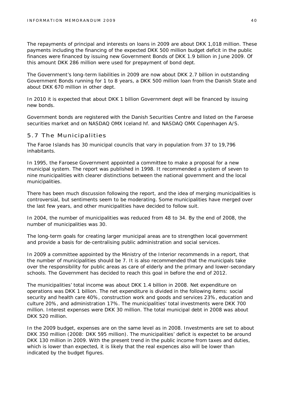The repayments of principal and interests on loans in 2009 are about DKK 1,018 million. These payments including the financing of the expected DKK 500 million budget deficit in the public finances were financed by issuing new Government Bonds of DKK 1.9 billion in June 2009. Of this amount DKK 286 million were used for prepayment of bond dept.

The Government's long-term liabilities in 2009 are now about DKK 2.7 billion in outstanding Government Bonds running for 1 to 8 years, a DKK 500 million loan from the Danish State and about DKK 670 million in other dept.

In 2010 it is expected that about DKK 1 billion Government dept will be financed by issuing new bonds.

Government bonds are registered with the Danish Securities Centre and listed on the Faroese securities market and on NASDAQ OMX Iceland hf. and NASDAQ OMX Copenhagen A/S.

#### 5.7 The Municipalities

The Faroe Islands has 30 municipal councils that vary in population from 37 to 19,796 inhabitants.

In 1995, the Faroese Government appointed a committee to make a proposal for a new municipal system. The report was published in 1998. It recommended a system of seven to nine municipalities with clearer distinctions between the national government and the local municipalities.

There has been much discussion following the report, and the idea of merging municipalities is controversial, but sentiments seem to be moderating. Some municipalities have merged over the last few years, and other municipalities have decided to follow suit.

In 2004, the number of municipalities was reduced from 48 to 34. By the end of 2008, the number of municipalities was 30.

The long-term goals for creating larger municipal areas are to strengthen local government and provide a basis for de-centralising public administration and social services.

In 2009 a committee appointed by the Ministry of the Interior recommends in a report, that the number of municipalities should be 7. It is also recommended that the municipals take over the responsibility for public areas as care of elderly and the primary and lower-secondary schools. The Government has decided to reach this goal in before the end of 2012.

The municipalities' total income was about DKK 1.4 billion in 2008. Net expenditure on operations was DKK 1 billion. The net expenditure is divided in the following items: social security and health care 40%, construction work and goods and services 23%, education and culture 20%, and administration 17%. The municipalities' total investments were DKK 700 million. Interest expenses were DKK 30 million. The total municipal debt in 2008 was about DKK 520 million.

In the 2009 budget, expenses are on the same level as in 2008. Investments are set to about DKK 350 million (2008: DKK 595 million). The municipalities' deficit is expectet to be around DKK 130 million in 2009. With the present trend in the public income from taxes and duties, which is lower than expected, it is likely that the real expences also will be lower than indicated by the budget figures.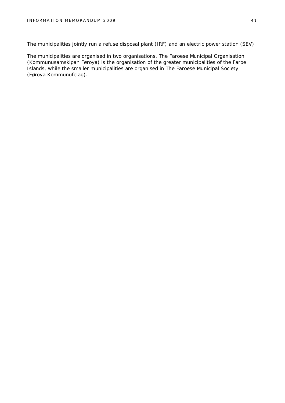The municipalities jointly run a refuse disposal plant (IRF) and an electric power station (SEV).

The municipalities are organised in two organisations. The Faroese Municipal Organisation (Kommunusamskipan Føroya) is the organisation of the greater municipalities of the Faroe Islands, while the smaller municipalities are organised in The Faroese Municipal Society (Føroya Kommunufelag).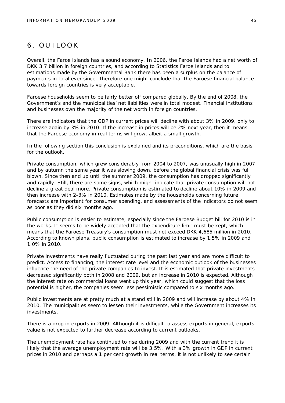## 6. OUTLOOK

Overall, the Faroe Islands has a sound economy. In 2006, the Faroe Islands had a net worth of DKK 3.7 billion in foreign countries, and according to Statistics Faroe Islands and to estimations made by the Governmental Bank there has been a surplus on the balance of payments in total ever since. Therefore one might conclude that the Faroese financial balance towards foreign countries is very acceptable.

Faroese households seem to be fairly better off compared globally. By the end of 2008, the Government's and the municipalities' net liabilities were in total modest. Financial institutions and businesses own the majority of the net worth in foreign countries.

There are indicators that the GDP in current prices will decline with about 3% in 2009, only to increase again by 3% in 2010. If the increase in prices will be 2% next year, then it means that the Faroese economy in real terms will grow, albeit a small growth.

In the following section this conclusion is explained and its preconditions, which are the basis for the outlook.

Private consumption, which grew considerably from 2004 to 2007, was unusually high in 2007 and by autumn the same year it was slowing down, before the global financial crisis was full blown. Since then and up until the summer 2009, the consumption has dropped significantly and rapidly. Still, there are some signs, which might indicate that private consumption will not decline a great deal more. Private consumption is estimated to decline about 10% in 2009 and then increase with 2-3% in 2010. Estimates made by the households concerning future forecasts are important for consumer spending, and assessments of the indicators do not seem as poor as they did six months ago.

Public consumption is easier to estimate, especially since the Faroese Budget bill for 2010 is in the works. It seems to be widely accepted that the expenditure limit must be kept, which means that the Faroese Treasury's consumption must not exceed DKK 4,685 million in 2010. According to known plans, public consumption is estimated to increase by 1.5% in 2009 and 1.0% in 2010.

Private investments have really fluctuated during the past last year and are more difficult to predict. Access to financing, the interest rate level and the economic outlook of the businesses influence the need of the private companies to invest. It is estimated that private investments decreased significantly both in 2008 and 2009, but an increase in 2010 is expected. Although the interest rate on commercial loans went up this year, which could suggest that the loss potential is higher, the companies seem less pessimistic compared to six months ago.

Public investments are at pretty much at a stand still in 2009 and will increase by about 4% in 2010. The municipalities seem to lessen their investments, while the Government increases its investments.

There is a drop in exports in 2009. Although it is difficult to assess exports in general, exports value is not expected to further decrease according to current outlooks.

The unemployment rate has continued to rise during 2009 and with the current trend it is likely that the average unemployment rate will be 3.5%. With a 3% growth in GDP in current prices in 2010 and perhaps a 1 per cent growth in real terms, it is not unlikely to see certain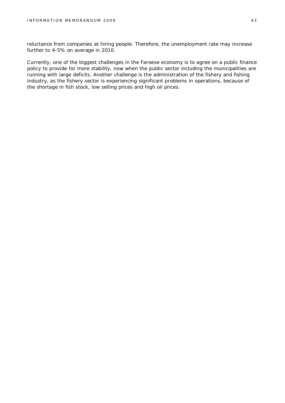reluctance from companies at hiring people. Therefore, the unemployment rate may increase further to 4-5% on average in 2010.

Currently, one of the biggest challenges in the Faroese economy is to agree on a public finance policy to provide for more stability, now when the public sector including the municipalities are running with large deficits. Another challenge is the administration of the fishery and fishing industry, as the fishery sector is experiencing significant problems in operations, because of the shortage in fish stock, low selling prices and high oil prices.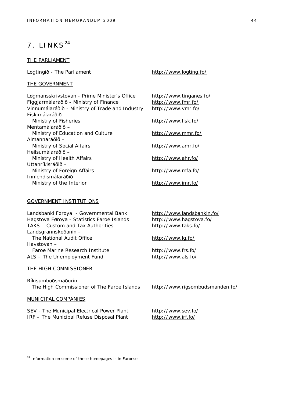## $7.$  LINKS<sup>24</sup>

#### THE PARLIAMENT

Løgtingið - The Parliament <http://www.logting.fo/>

#### THE GOVERNMENT

Løgmansskrivstovan - Prime Minister's Office <http://www.tinganes.fo/> Fíggjarmálaráðið - Ministry of Finance <http://www.fmr.fo/> Vinnumálaráðið - Ministry of Trade and Industry <http://www.vmr.fo/> Fiskimálaráðið Ministry of Fisheries <http://www.fisk.fo/> Mentamálaráðið – Ministry of Education and Culture <http://www.mmr.fo/> Almannaráðið – Ministry of Social Affairs <http://www.amr.fo/> Heilsumálaráðið – Ministry of Health Affairs <http://www.ahr.fo/> Uttanríkisráðið – Ministry of Foreign Affairs <http://www.mfa.fo/> Innlendismálaráðið – Ministry of the Interior <http://www.imr.fo/>

#### GOVERNMENT INSTITUTIONS

Landsbanki Føroya - Governmental Bank <http://www.landsbankin.fo/> Hagstova Føroya - Statistics Faroe Islands <http://www.hagstova.fo/> TAKS – Custom and Tax Authorities <http://www.taks.fo/> Landsgrannskoðanin – The National Audit Office <http://www.lg.fo/> Havstovan – Faroe Marine Research Institute <http://www.frs.fo/> ALS – The Unemployment Fund <http://www.als.fo/>

#### THE HIGH COMMISSIONER

Ríkisumboðsmaðurin - The High Commissioner of The Faroe Islands <http://www.rigsombudsmanden.fo/>

#### MUNICIPAL COMPANIES

SEV - The Municipal Electrical Power Plant <http://www.sev.fo/> IRF – The Municipal Refuse Disposal Plant <http://www.irf.fo/>

<sup>&</sup>lt;sup>24</sup> Information on some of these homepages is in Faroese.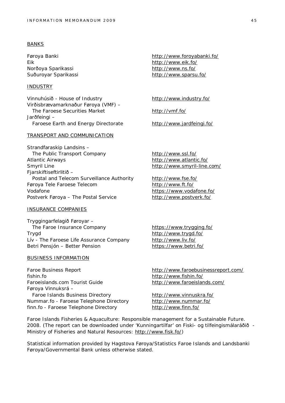#### BANKS

Eik <http://www.eik.fo/> Norðoya Sparikassi <http://www.ns.fo/>

#### INDUSTRY

Vinnuhúsið - House of Industry <http://www.industry.fo/> Virðisbrævamarknaður Føroya (VMF) – The Faroese Securities Market <http://vmf.fo/> Jarðfeingi – Faroese Earth and Energy Directorate <http://www.jardfeingi.fo/>

#### TRANSPORT AND COMMUNICATION

Strandfaraskip Landsins – The Public Transport Company <http://www.ssl.fo/> Atlantic Airways <http://www.atlantic.fo/> Smyril Line **<http://www.smyril-line.com/>** Fjarskiftiseftirlitið – Postal and Telecom Surveillance Authority <http://www.fse.fo/> Føroya Tele Faroese Telecom <http://www.ft.fo/> Vodafone <https://www.vodafone.fo/> Postverk Føroya – The Postal Service <http://www.postverk.fo/>

#### INSURANCE COMPANIES

Tryggingarfelagið Føroyar – The Faroe Insurance Company <https://www.trygging.fo/> Trygd <http://www.trygd.fo/> Lív - The Faroese Life Assurance Company <http://www.liv.fo/> Betri Pensjón – Better Pension <https://www.betri.fo/>

#### BUSINESS INFORMATION

Faroe Business Report <http://www.faroebusinessreport.com/> fishin.fo <http://www.fishin.fo/> Faroeislands.com Tourist Guide <http://www.faroeislands.com/> Føroya Vinnuksrá – Faroe Islands Business Directory <http://www.vinnuskra.fo/> Nummar.fo - Faroese Telephone Directory <http://www.nummar.fo/> finn.fo - Faroese Telephone Directory <http://www.finn.fo/>

Føroya Banki <http://www.foroyabanki.fo/> Suðuroyar Sparikassi <http://www.sparsu.fo/>

Faroe Islands Fisheries & Aquaculture: Responsible management for a Sustainable Future. 2008. (The report can be downloaded under 'Kunningartilfar' on Fiski- og tilfeingismálaráðið - Ministry of Fisheries and Natural Resources: [http://www.fisk.fo/\)](http://www.fisk.fo/))

Statistical information provided by Hagstova Føroya/Statistics Faroe Islands and Landsbanki Føroya/Governmental Bank unless otherwise stated.